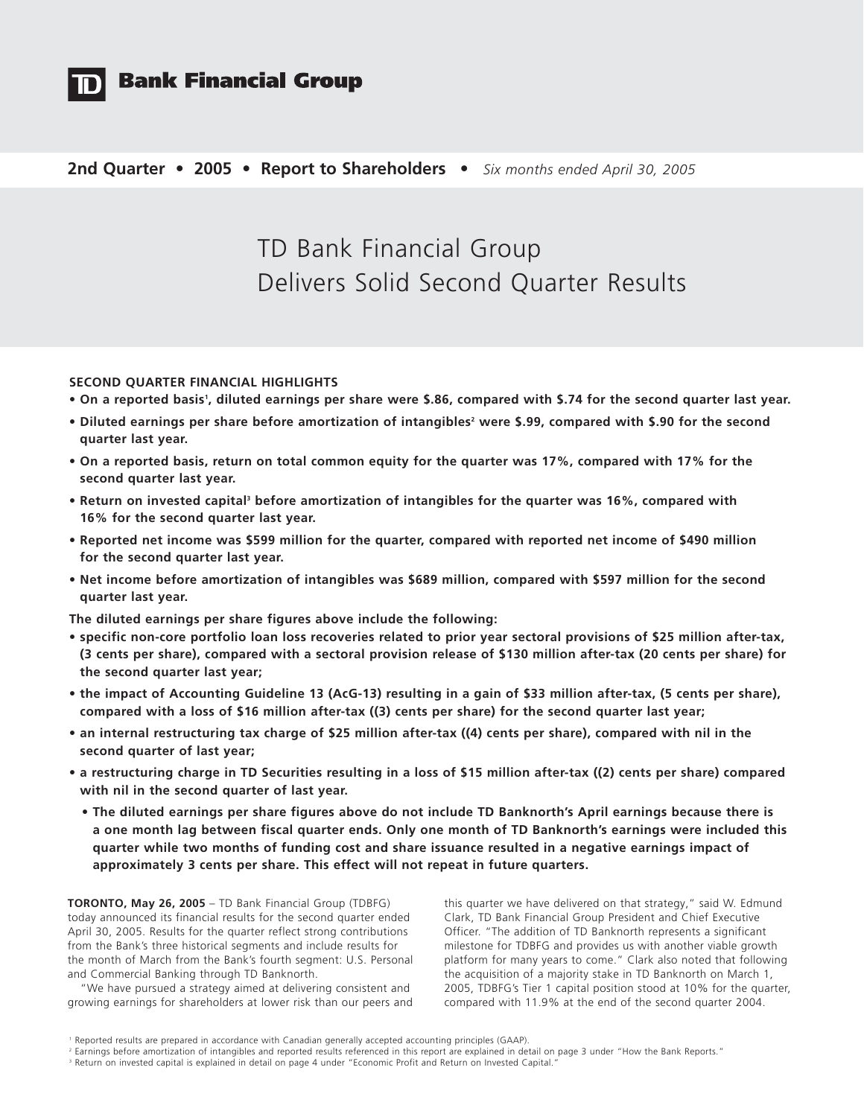

# **Bank Financial Group**

### **2nd Quarter • 2005 • Report to Shareholders •** *Six months ended April 30, 2005*

# TD Bank Financial Group Delivers Solid Second Quarter Results

### **SECOND QUARTER FINANCIAL HIGHLIGHTS**

- **On a reported basis1 , diluted earnings per share were \$.86, compared with \$.74 for the second quarter last year.**
- Diluted earnings per share before amortization of intangibles<sup>2</sup> were \$.99, compared with \$.90 for the second **quarter last year.**
- **On a reported basis, return on total common equity for the quarter was 17%, compared with 17% for the second quarter last year.**
- **Return on invested capital3 before amortization of intangibles for the quarter was 16%, compared with 16% for the second quarter last year.**
- **Reported net income was \$599 million for the quarter, compared with reported net income of \$490 million for the second quarter last year.**
- **Net income before amortization of intangibles was \$689 million, compared with \$597 million for the second quarter last year.**

**The diluted earnings per share figures above include the following:**

- **specific non-core portfolio loan loss recoveries related to prior year sectoral provisions of \$25 million after-tax, (3 cents per share), compared with a sectoral provision release of \$130 million after-tax (20 cents per share) for the second quarter last year;**
- **the impact of Accounting Guideline 13 (AcG-13) resulting in a gain of \$33 million after-tax, (5 cents per share), compared with a loss of \$16 million after-tax ((3) cents per share) for the second quarter last year;**
- **an internal restructuring tax charge of \$25 million after-tax ((4) cents per share), compared with nil in the second quarter of last year;**
- **a restructuring charge in TD Securities resulting in a loss of \$15 million after-tax ((2) cents per share) compared with nil in the second quarter of last year.**
	- **The diluted earnings per share figures above do not include TD Banknorth's April earnings because there is a one month lag between fiscal quarter ends. Only one month of TD Banknorth's earnings were included this quarter while two months of funding cost and share issuance resulted in a negative earnings impact of approximately 3 cents per share. This effect will not repeat in future quarters.**

**TORONTO, May 26, 2005** – TD Bank Financial Group (TDBFG) today announced its financial results for the second quarter ended April 30, 2005. Results for the quarter reflect strong contributions from the Bank's three historical segments and include results for the month of March from the Bank's fourth segment: U.S. Personal and Commercial Banking through TD Banknorth.

"We have pursued a strategy aimed at delivering consistent and growing earnings for shareholders at lower risk than our peers and this quarter we have delivered on that strategy," said W. Edmund Clark, TD Bank Financial Group President and Chief Executive Officer. "The addition of TD Banknorth represents a significant milestone for TDBFG and provides us with another viable growth platform for many years to come." Clark also noted that following the acquisition of a majority stake in TD Banknorth on March 1, 2005, TDBFG's Tier 1 capital position stood at 10% for the quarter, compared with 11.9% at the end of the second quarter 2004.

<sup>1</sup> Reported results are prepared in accordance with Canadian generally accepted accounting principles (GAAP).

<sup>2</sup> Earnings before amortization of intangibles and reported results referenced in this report are explained in detail on page 3 under "How the Bank Reports."

<sup>&</sup>lt;sup>3</sup> Return on invested capital is explained in detail on page 4 under "Economic Profit and Return on Invested Capital."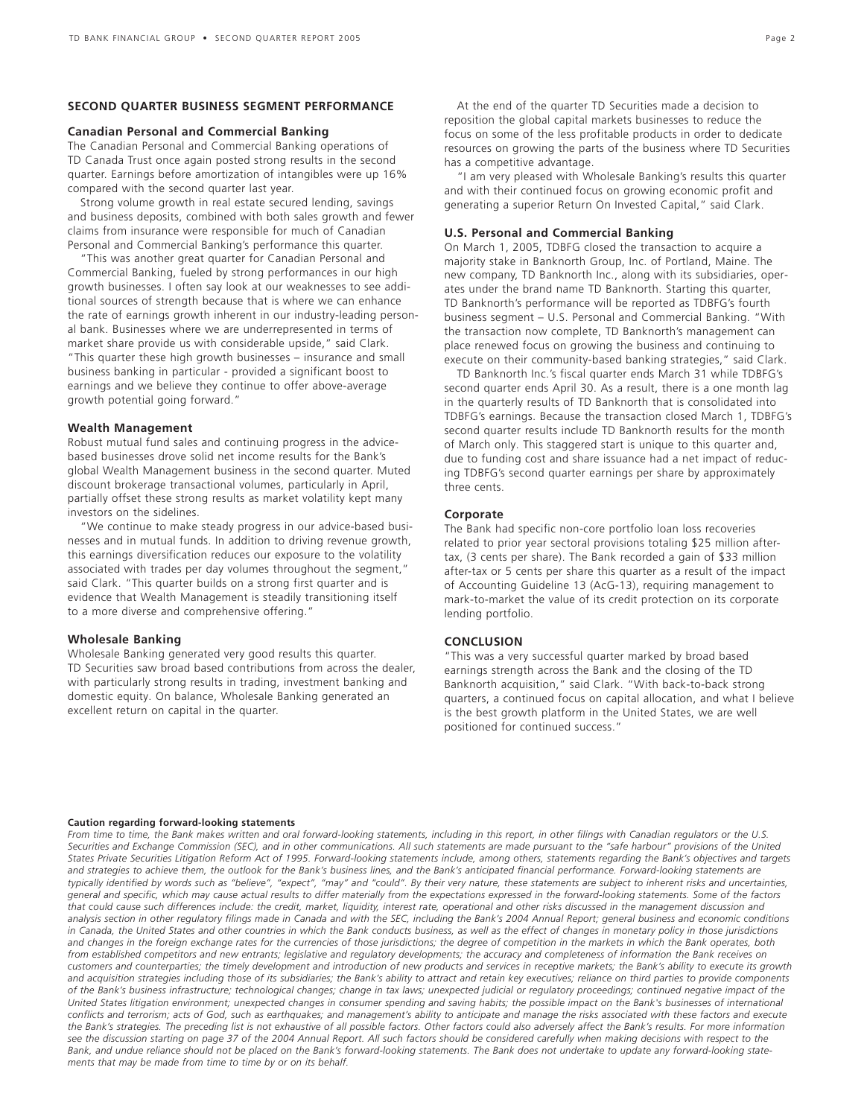### **SECOND QUARTER BUSINESS SEGMENT PERFORMANCE**

### **Canadian Personal and Commercial Banking**

The Canadian Personal and Commercial Banking operations of TD Canada Trust once again posted strong results in the second quarter. Earnings before amortization of intangibles were up 16% compared with the second quarter last year.

Strong volume growth in real estate secured lending, savings and business deposits, combined with both sales growth and fewer claims from insurance were responsible for much of Canadian Personal and Commercial Banking's performance this quarter.

"This was another great quarter for Canadian Personal and Commercial Banking, fueled by strong performances in our high growth businesses. I often say look at our weaknesses to see additional sources of strength because that is where we can enhance the rate of earnings growth inherent in our industry-leading personal bank. Businesses where we are underrepresented in terms of market share provide us with considerable upside," said Clark. "This quarter these high growth businesses – insurance and small business banking in particular - provided a significant boost to earnings and we believe they continue to offer above-average growth potential going forward."

### **Wealth Management**

Robust mutual fund sales and continuing progress in the advicebased businesses drove solid net income results for the Bank's global Wealth Management business in the second quarter. Muted discount brokerage transactional volumes, particularly in April, partially offset these strong results as market volatility kept many investors on the sidelines.

"We continue to make steady progress in our advice-based businesses and in mutual funds. In addition to driving revenue growth, this earnings diversification reduces our exposure to the volatility associated with trades per day volumes throughout the segment," said Clark. "This quarter builds on a strong first quarter and is evidence that Wealth Management is steadily transitioning itself to a more diverse and comprehensive offering."

#### **Wholesale Banking**

Wholesale Banking generated very good results this quarter. TD Securities saw broad based contributions from across the dealer, with particularly strong results in trading, investment banking and domestic equity. On balance, Wholesale Banking generated an excellent return on capital in the quarter.

At the end of the quarter TD Securities made a decision to reposition the global capital markets businesses to reduce the focus on some of the less profitable products in order to dedicate resources on growing the parts of the business where TD Securities has a competitive advantage.

"I am very pleased with Wholesale Banking's results this quarter and with their continued focus on growing economic profit and generating a superior Return On Invested Capital," said Clark.

#### **U.S. Personal and Commercial Banking**

On March 1, 2005, TDBFG closed the transaction to acquire a majority stake in Banknorth Group, Inc. of Portland, Maine. The new company, TD Banknorth Inc., along with its subsidiaries, operates under the brand name TD Banknorth. Starting this quarter, TD Banknorth's performance will be reported as TDBFG's fourth business segment – U.S. Personal and Commercial Banking. "With the transaction now complete, TD Banknorth's management can place renewed focus on growing the business and continuing to execute on their community-based banking strategies," said Clark.

TD Banknorth Inc.'s fiscal quarter ends March 31 while TDBFG's second quarter ends April 30. As a result, there is a one month lag in the quarterly results of TD Banknorth that is consolidated into TDBFG's earnings. Because the transaction closed March 1, TDBFG's second quarter results include TD Banknorth results for the month of March only. This staggered start is unique to this quarter and, due to funding cost and share issuance had a net impact of reducing TDBFG's second quarter earnings per share by approximately three cents.

#### **Corporate**

The Bank had specific non-core portfolio loan loss recoveries related to prior year sectoral provisions totaling \$25 million aftertax, (3 cents per share). The Bank recorded a gain of \$33 million after-tax or 5 cents per share this quarter as a result of the impact of Accounting Guideline 13 (AcG-13), requiring management to mark-to-market the value of its credit protection on its corporate lending portfolio.

### **CONCLUSION**

"This was a very successful quarter marked by broad based earnings strength across the Bank and the closing of the TD Banknorth acquisition," said Clark. "With back-to-back strong quarters, a continued focus on capital allocation, and what I believe is the best growth platform in the United States, we are well positioned for continued success."

#### **Caution regarding forward-looking statements**

*From time to time, the Bank makes written and oral forward-looking statements, including in this report, in other filings with Canadian regulators or the U.S. Securities and Exchange Commission (SEC), and in other communications. All such statements are made pursuant to the "safe harbour" provisions of the United States Private Securities Litigation Reform Act of 1995. Forward-looking statements include, among others, statements regarding the Bank's objectives and targets* and strategies to achieve them, the outlook for the Bank's business lines, and the Bank's anticipated financial performance. Forward-looking statements are *typically identified by words such as "believe", "expect", "may" and "could". By their very nature, these statements are subject to inherent risks and uncertainties, general and specific, which may cause actual results to differ materially from the expectations expressed in the forward-looking statements. Some of the factors that could cause such differences include: the credit, market, liquidity, interest rate, operational and other risks discussed in the management discussion and analysis section in other regulatory filings made in Canada and with the SEC, including the Bank's 2004 Annual Report; general business and economic conditions in Canada, the United States and other countries in which the Bank conducts business, as well as the effect of changes in monetary policy in those jurisdictions and changes in the foreign exchange rates for the currencies of those jurisdictions; the degree of competition in the markets in which the Bank operates, both from established competitors and new entrants; legislative and regulatory developments; the accuracy and completeness of information the Bank receives on customers and counterparties; the timely development and introduction of new products and services in receptive markets; the Bank's ability to execute its growth and acquisition strategies including those of its subsidiaries; the Bank's ability to attract and retain key executives; reliance on third parties to provide components of the Bank's business infrastructure; technological changes; change in tax laws; unexpected judicial or regulatory proceedings; continued negative impact of the United States litigation environment; unexpected changes in consumer spending and saving habits; the possible impact on the Bank's businesses of international conflicts and terrorism; acts of God, such as earthquakes; and management's ability to anticipate and manage the risks associated with these factors and execute the Bank's strategies. The preceding list is not exhaustive of all possible factors. Other factors could also adversely affect the Bank's results. For more information see the discussion starting on page 37 of the 2004 Annual Report. All such factors should be considered carefully when making decisions with respect to the Bank, and undue reliance should not be placed on the Bank's forward-looking statements. The Bank does not undertake to update any forward-looking statements that may be made from time to time by or on its behalf.*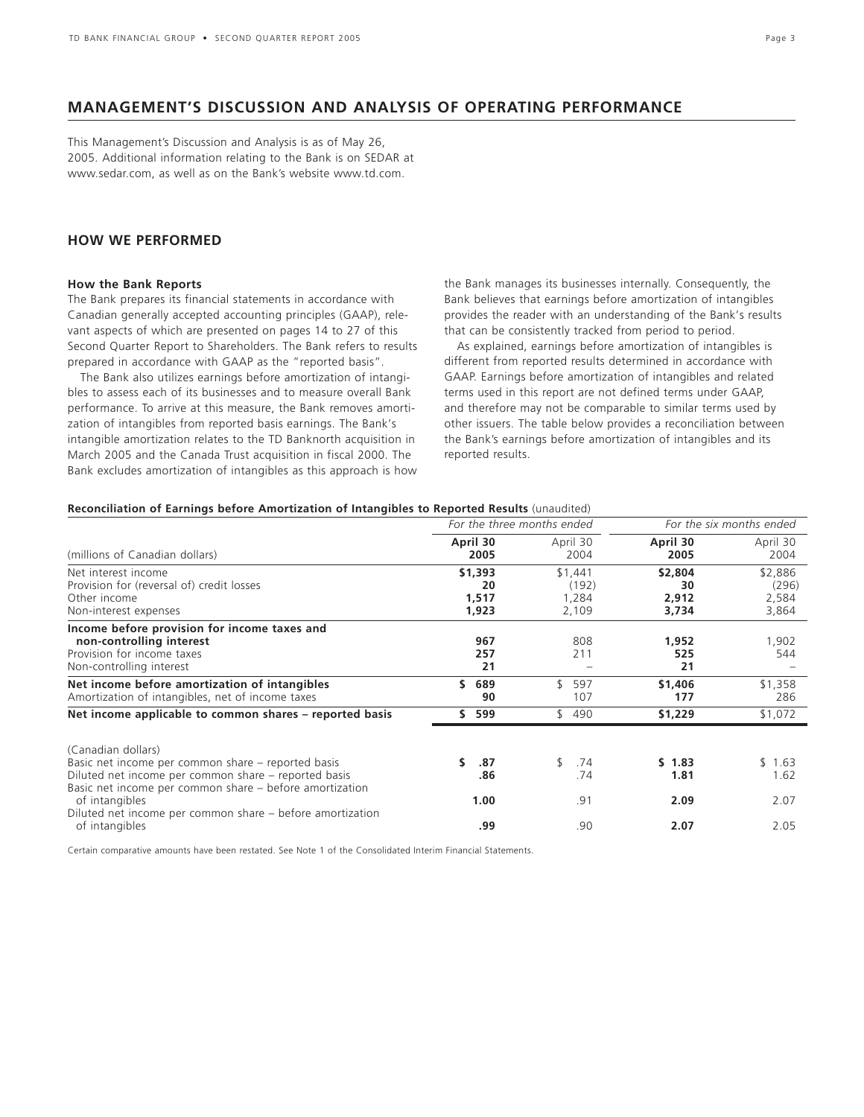### **MANAGEMENT'S DISCUSSION AND ANALYSIS OF OPERATING PERFORMANCE**

This Management's Discussion and Analysis is as of May 26, 2005. Additional information relating to the Bank is on SEDAR at www.sedar.com, as well as on the Bank's website www.td.com.

### **HOW WE PERFORMED**

### **How the Bank Reports**

The Bank prepares its financial statements in accordance with Canadian generally accepted accounting principles (GAAP), relevant aspects of which are presented on pages 14 to 27 of this Second Quarter Report to Shareholders. The Bank refers to results prepared in accordance with GAAP as the "reported basis".

The Bank also utilizes earnings before amortization of intangibles to assess each of its businesses and to measure overall Bank performance. To arrive at this measure, the Bank removes amortization of intangibles from reported basis earnings. The Bank's intangible amortization relates to the TD Banknorth acquisition in March 2005 and the Canada Trust acquisition in fiscal 2000. The Bank excludes amortization of intangibles as this approach is how the Bank manages its businesses internally. Consequently, the Bank believes that earnings before amortization of intangibles provides the reader with an understanding of the Bank's results that can be consistently tracked from period to period.

As explained, earnings before amortization of intangibles is different from reported results determined in accordance with GAAP. Earnings before amortization of intangibles and related terms used in this report are not defined terms under GAAP, and therefore may not be comparable to similar terms used by other issuers. The table below provides a reconciliation between the Bank's earnings before amortization of intangibles and its reported results.

### **Reconciliation of Earnings before Amortization of Intangibles to Reported Results** (unaudited)

|                        |                           |                                                   | For the six months ended           |
|------------------------|---------------------------|---------------------------------------------------|------------------------------------|
| April 30<br>2005       | April 30<br>2004          | April 30<br>2005                                  | April 30<br>2004                   |
| \$1,393<br>20<br>1,517 | \$1,441<br>(192)<br>1,284 | \$2,804<br>30<br>2,912                            | \$2,886<br>(296)<br>2,584<br>3,864 |
| 967<br>257<br>21       | 808<br>211                | 1,952<br>525<br>21                                | 1,902<br>544                       |
| \$.<br>689<br>90       | \$<br>597<br>107          | \$1,406<br>177                                    | \$1,358<br>286                     |
| 599<br>ς.              | \$490                     | \$1,229                                           | \$1,072                            |
| .87<br>.86             | \$<br>.74<br>.74          | \$1.83<br>1.81                                    | \$1.63<br>1.62                     |
|                        |                           |                                                   | 2.07<br>2.05                       |
|                        | 1,923<br>1.00<br>.99      | For the three months ended<br>2,109<br>.91<br>.90 | 3,734<br>2.09<br>2.07              |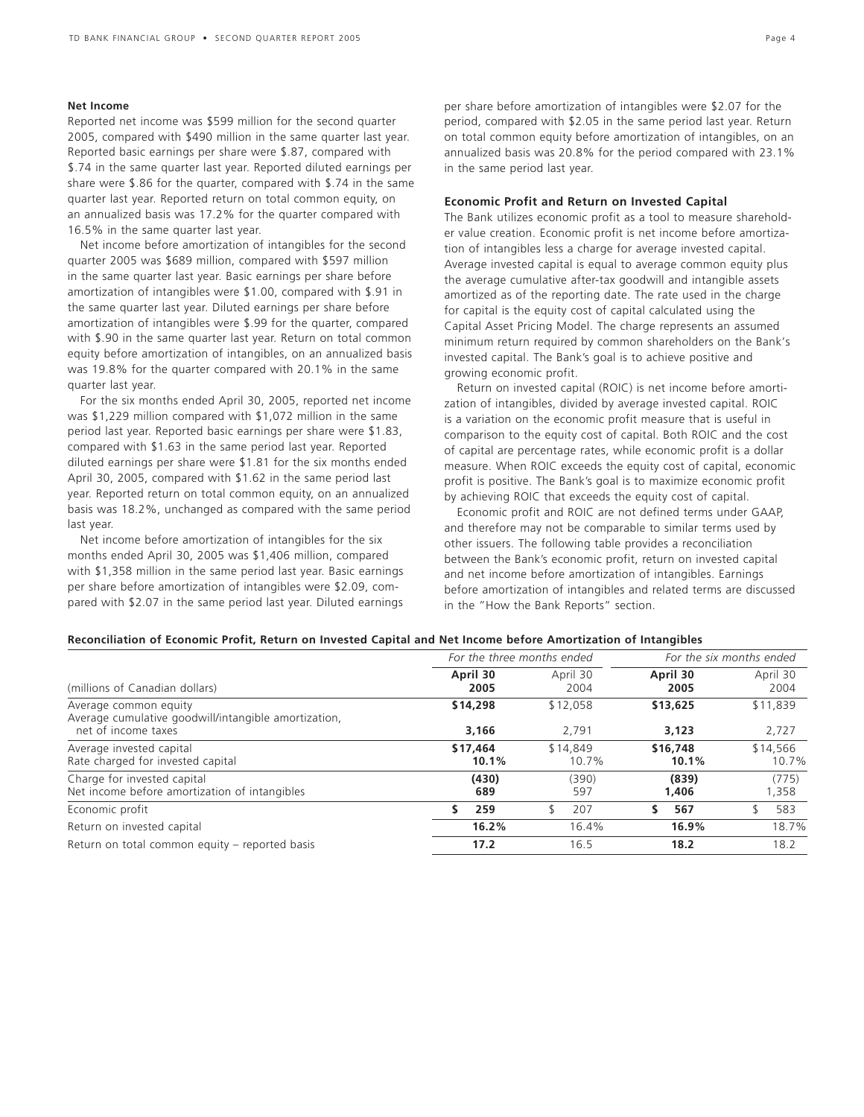### **Net Income**

Reported net income was \$599 million for the second quarter 2005, compared with \$490 million in the same quarter last year. Reported basic earnings per share were \$.87, compared with \$.74 in the same quarter last year. Reported diluted earnings per share were \$.86 for the quarter, compared with \$.74 in the same quarter last year. Reported return on total common equity, on an annualized basis was 17.2% for the quarter compared with 16.5% in the same quarter last year.

Net income before amortization of intangibles for the second quarter 2005 was \$689 million, compared with \$597 million in the same quarter last year. Basic earnings per share before amortization of intangibles were \$1.00, compared with \$.91 in the same quarter last year. Diluted earnings per share before amortization of intangibles were \$.99 for the quarter, compared with \$.90 in the same quarter last year. Return on total common equity before amortization of intangibles, on an annualized basis was 19.8% for the quarter compared with 20.1% in the same quarter last year.

For the six months ended April 30, 2005, reported net income was \$1,229 million compared with \$1,072 million in the same period last year. Reported basic earnings per share were \$1.83, compared with \$1.63 in the same period last year. Reported diluted earnings per share were \$1.81 for the six months ended April 30, 2005, compared with \$1.62 in the same period last year. Reported return on total common equity, on an annualized basis was 18.2%, unchanged as compared with the same period last year.

Net income before amortization of intangibles for the six months ended April 30, 2005 was \$1,406 million, compared with \$1,358 million in the same period last year. Basic earnings per share before amortization of intangibles were \$2.09, compared with \$2.07 in the same period last year. Diluted earnings

per share before amortization of intangibles were \$2.07 for the period, compared with \$2.05 in the same period last year. Return on total common equity before amortization of intangibles, on an annualized basis was 20.8% for the period compared with 23.1% in the same period last year.

### **Economic Profit and Return on Invested Capital**

The Bank utilizes economic profit as a tool to measure shareholder value creation. Economic profit is net income before amortization of intangibles less a charge for average invested capital. Average invested capital is equal to average common equity plus the average cumulative after-tax goodwill and intangible assets amortized as of the reporting date. The rate used in the charge for capital is the equity cost of capital calculated using the Capital Asset Pricing Model. The charge represents an assumed minimum return required by common shareholders on the Bank's invested capital. The Bank's goal is to achieve positive and growing economic profit.

Return on invested capital (ROIC) is net income before amortization of intangibles, divided by average invested capital. ROIC is a variation on the economic profit measure that is useful in comparison to the equity cost of capital. Both ROIC and the cost of capital are percentage rates, while economic profit is a dollar measure. When ROIC exceeds the equity cost of capital, economic profit is positive. The Bank's goal is to maximize economic profit by achieving ROIC that exceeds the equity cost of capital.

Economic profit and ROIC are not defined terms under GAAP, and therefore may not be comparable to similar terms used by other issuers. The following table provides a reconciliation between the Bank's economic profit, return on invested capital and net income before amortization of intangibles. Earnings before amortization of intangibles and related terms are discussed in the "How the Bank Reports" section.

| Reconciliation of Economic Profit, Return on Invested Capital and Net Income before Amortization of Intangibles |  |  |  |
|-----------------------------------------------------------------------------------------------------------------|--|--|--|
|-----------------------------------------------------------------------------------------------------------------|--|--|--|

|                                                                               | For the three months ended |                   | For the six months ended |                   |  |
|-------------------------------------------------------------------------------|----------------------------|-------------------|--------------------------|-------------------|--|
| (millions of Canadian dollars)                                                | April 30<br>2005           | April 30<br>2004  | April 30<br>2005         | April 30<br>2004  |  |
| Average common equity<br>Average cumulative goodwill/intangible amortization, | \$14,298                   | \$12,058          | \$13,625                 | \$11,839          |  |
| net of income taxes                                                           | 3.166                      | 2.791             | 3,123                    | 2,727             |  |
| Average invested capital<br>Rate charged for invested capital                 | \$17,464<br>10.1%          | \$14,849<br>10.7% | \$16,748<br>10.1%        | \$14,566<br>10.7% |  |
| Charge for invested capital<br>Net income before amortization of intangibles  | (430)<br>689               | (390)<br>597      | (839)<br>1,406           | (775)<br>1,358    |  |
| Economic profit                                                               | 259                        | 207<br>ና          | 567<br>S.                | 583               |  |
| Return on invested capital                                                    | 16.2%                      | 16.4%             | 16.9%                    | 18.7%             |  |
| Return on total common equity – reported basis                                | 17.2                       | 16.5              | 18.2                     | 18.2              |  |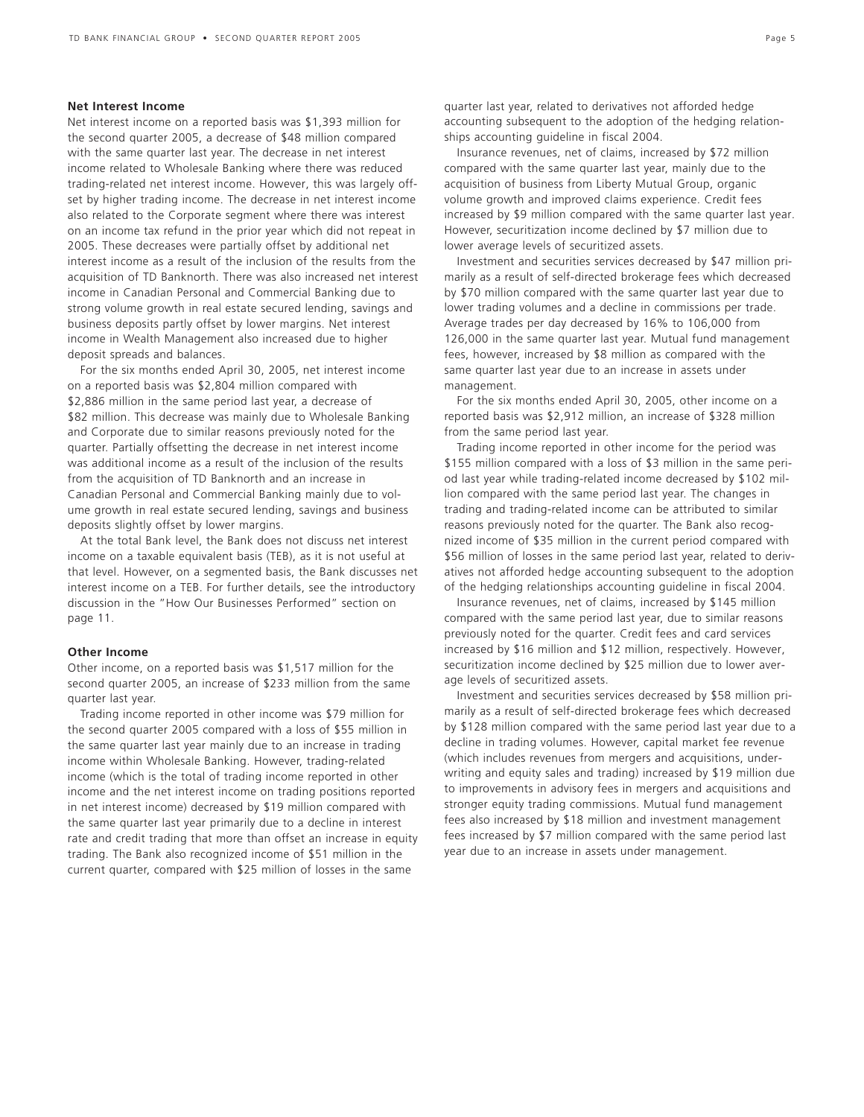### **Net Interest Income**

Net interest income on a reported basis was \$1,393 million for the second quarter 2005, a decrease of \$48 million compared with the same quarter last year. The decrease in net interest income related to Wholesale Banking where there was reduced trading-related net interest income. However, this was largely offset by higher trading income. The decrease in net interest income also related to the Corporate segment where there was interest on an income tax refund in the prior year which did not repeat in 2005. These decreases were partially offset by additional net interest income as a result of the inclusion of the results from the acquisition of TD Banknorth. There was also increased net interest income in Canadian Personal and Commercial Banking due to strong volume growth in real estate secured lending, savings and business deposits partly offset by lower margins. Net interest income in Wealth Management also increased due to higher deposit spreads and balances.

For the six months ended April 30, 2005, net interest income on a reported basis was \$2,804 million compared with \$2,886 million in the same period last year, a decrease of \$82 million. This decrease was mainly due to Wholesale Banking and Corporate due to similar reasons previously noted for the quarter. Partially offsetting the decrease in net interest income was additional income as a result of the inclusion of the results from the acquisition of TD Banknorth and an increase in Canadian Personal and Commercial Banking mainly due to volume growth in real estate secured lending, savings and business deposits slightly offset by lower margins.

At the total Bank level, the Bank does not discuss net interest income on a taxable equivalent basis (TEB), as it is not useful at that level. However, on a segmented basis, the Bank discusses net interest income on a TEB. For further details, see the introductory discussion in the "How Our Businesses Performed" section on page 11.

### **Other Income**

Other income, on a reported basis was \$1,517 million for the second quarter 2005, an increase of \$233 million from the same quarter last year.

Trading income reported in other income was \$79 million for the second quarter 2005 compared with a loss of \$55 million in the same quarter last year mainly due to an increase in trading income within Wholesale Banking. However, trading-related income (which is the total of trading income reported in other income and the net interest income on trading positions reported in net interest income) decreased by \$19 million compared with the same quarter last year primarily due to a decline in interest rate and credit trading that more than offset an increase in equity trading. The Bank also recognized income of \$51 million in the current quarter, compared with \$25 million of losses in the same

Insurance revenues, net of claims, increased by \$72 million compared with the same quarter last year, mainly due to the acquisition of business from Liberty Mutual Group, organic volume growth and improved claims experience. Credit fees increased by \$9 million compared with the same quarter last year. However, securitization income declined by \$7 million due to lower average levels of securitized assets.

Investment and securities services decreased by \$47 million primarily as a result of self-directed brokerage fees which decreased by \$70 million compared with the same quarter last year due to lower trading volumes and a decline in commissions per trade. Average trades per day decreased by 16% to 106,000 from 126,000 in the same quarter last year. Mutual fund management fees, however, increased by \$8 million as compared with the same quarter last year due to an increase in assets under management.

For the six months ended April 30, 2005, other income on a reported basis was \$2,912 million, an increase of \$328 million from the same period last year.

Trading income reported in other income for the period was \$155 million compared with a loss of \$3 million in the same period last year while trading-related income decreased by \$102 million compared with the same period last year. The changes in trading and trading-related income can be attributed to similar reasons previously noted for the quarter. The Bank also recognized income of \$35 million in the current period compared with \$56 million of losses in the same period last year, related to derivatives not afforded hedge accounting subsequent to the adoption of the hedging relationships accounting guideline in fiscal 2004.

Insurance revenues, net of claims, increased by \$145 million compared with the same period last year, due to similar reasons previously noted for the quarter. Credit fees and card services increased by \$16 million and \$12 million, respectively. However, securitization income declined by \$25 million due to lower average levels of securitized assets.

Investment and securities services decreased by \$58 million primarily as a result of self-directed brokerage fees which decreased by \$128 million compared with the same period last year due to a decline in trading volumes. However, capital market fee revenue (which includes revenues from mergers and acquisitions, underwriting and equity sales and trading) increased by \$19 million due to improvements in advisory fees in mergers and acquisitions and stronger equity trading commissions. Mutual fund management fees also increased by \$18 million and investment management fees increased by \$7 million compared with the same period last year due to an increase in assets under management.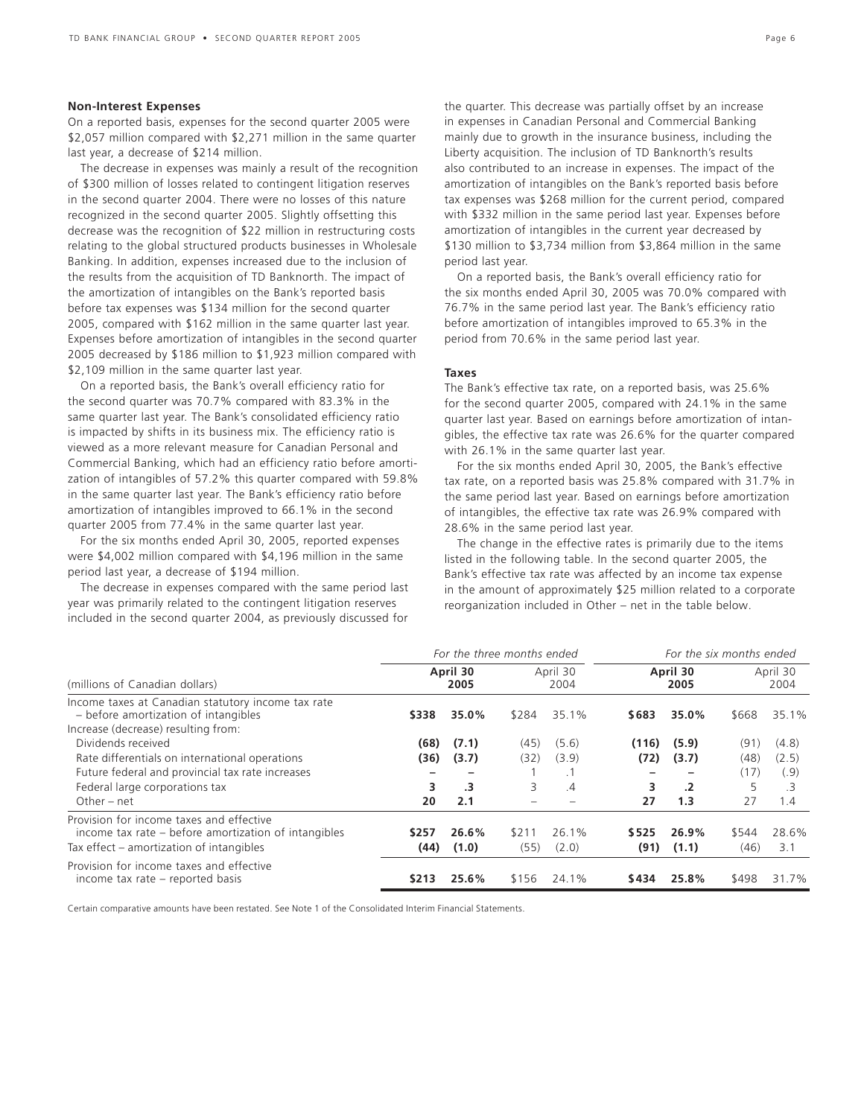### **Non-Interest Expenses**

On a reported basis, expenses for the second quarter 2005 were \$2,057 million compared with \$2,271 million in the same quarter last year, a decrease of \$214 million.

The decrease in expenses was mainly a result of the recognition of \$300 million of losses related to contingent litigation reserves in the second quarter 2004. There were no losses of this nature recognized in the second quarter 2005. Slightly offsetting this decrease was the recognition of \$22 million in restructuring costs relating to the global structured products businesses in Wholesale Banking. In addition, expenses increased due to the inclusion of the results from the acquisition of TD Banknorth. The impact of the amortization of intangibles on the Bank's reported basis before tax expenses was \$134 million for the second quarter 2005, compared with \$162 million in the same quarter last year. Expenses before amortization of intangibles in the second quarter 2005 decreased by \$186 million to \$1,923 million compared with \$2,109 million in the same quarter last year.

On a reported basis, the Bank's overall efficiency ratio for the second quarter was 70.7% compared with 83.3% in the same quarter last year. The Bank's consolidated efficiency ratio is impacted by shifts in its business mix. The efficiency ratio is viewed as a more relevant measure for Canadian Personal and Commercial Banking, which had an efficiency ratio before amortization of intangibles of 57.2% this quarter compared with 59.8% in the same quarter last year. The Bank's efficiency ratio before amortization of intangibles improved to 66.1% in the second quarter 2005 from 77.4% in the same quarter last year.

For the six months ended April 30, 2005, reported expenses were \$4,002 million compared with \$4,196 million in the same period last year, a decrease of \$194 million.

The decrease in expenses compared with the same period last year was primarily related to the contingent litigation reserves included in the second quarter 2004, as previously discussed for

the quarter. This decrease was partially offset by an increase in expenses in Canadian Personal and Commercial Banking mainly due to growth in the insurance business, including the Liberty acquisition. The inclusion of TD Banknorth's results also contributed to an increase in expenses. The impact of the amortization of intangibles on the Bank's reported basis before tax expenses was \$268 million for the current period, compared with \$332 million in the same period last year. Expenses before amortization of intangibles in the current year decreased by \$130 million to \$3,734 million from \$3,864 million in the same period last year.

On a reported basis, the Bank's overall efficiency ratio for the six months ended April 30, 2005 was 70.0% compared with 76.7% in the same period last year. The Bank's efficiency ratio before amortization of intangibles improved to 65.3% in the period from 70.6% in the same period last year.

### **Taxes**

The Bank's effective tax rate, on a reported basis, was 25.6% for the second quarter 2005, compared with 24.1% in the same quarter last year. Based on earnings before amortization of intangibles, the effective tax rate was 26.6% for the quarter compared with 26.1% in the same quarter last year.

For the six months ended April 30, 2005, the Bank's effective tax rate, on a reported basis was 25.8% compared with 31.7% in the same period last year. Based on earnings before amortization of intangibles, the effective tax rate was 26.9% compared with 28.6% in the same period last year.

The change in the effective rates is primarily due to the items listed in the following table. In the second quarter 2005, the Bank's effective tax rate was affected by an income tax expense in the amount of approximately \$25 million related to a corporate reorganization included in Other – net in the table below.

|                                                                                                                                                                             |                         | For the three months ended         |                   | For the six months ended          |                          |                                     |                                 |                                     |
|-----------------------------------------------------------------------------------------------------------------------------------------------------------------------------|-------------------------|------------------------------------|-------------------|-----------------------------------|--------------------------|-------------------------------------|---------------------------------|-------------------------------------|
| (millions of Canadian dollars)                                                                                                                                              | April 30<br>2005        |                                    | April 30<br>2004  |                                   | April 30<br>2005         |                                     | April 30<br>2004                |                                     |
| Income taxes at Canadian statutory income tax rate<br>- before amortization of intangibles<br>Increase (decrease) resulting from:                                           | \$338                   | 35.0%                              | \$284             | 35.1%                             | \$683                    | 35.0%                               | \$668                           | 35.1%                               |
| Dividends received<br>Rate differentials on international operations<br>Future federal and provincial tax rate increases<br>Federal large corporations tax<br>Other $-$ net | (68)<br>(36)<br>3<br>20 | (7.1)<br>(3.7)<br>$\cdot$ 3<br>2.1 | (45)<br>(32)<br>3 | (5.6)<br>(3.9)<br>$\cdot$ 1<br>.4 | (116)<br>(72)<br>3<br>27 | (5.9)<br>(3.7)<br>$\cdot$ .2<br>1.3 | (91)<br>(48)<br>(17)<br>5<br>27 | (4.8)<br>(2.5)<br>(.9)<br>.3<br>1.4 |
| Provision for income taxes and effective<br>income tax rate – before amortization of intangibles<br>Tax effect – amortization of intangibles                                | \$257<br>(44)           | 26.6%<br>(1.0)                     | \$211<br>(55)     | 26.1%<br>(2.0)                    | \$525<br>(91)            | 26.9%<br>(1.1)                      | \$544<br>(46)                   | 28.6%<br>3.1                        |
| Provision for income taxes and effective<br>income tax rate – reported basis                                                                                                | \$213                   | 25.6%                              | \$156             | 24.1%                             | \$434                    | 25.8%                               | \$498                           | 31.7%                               |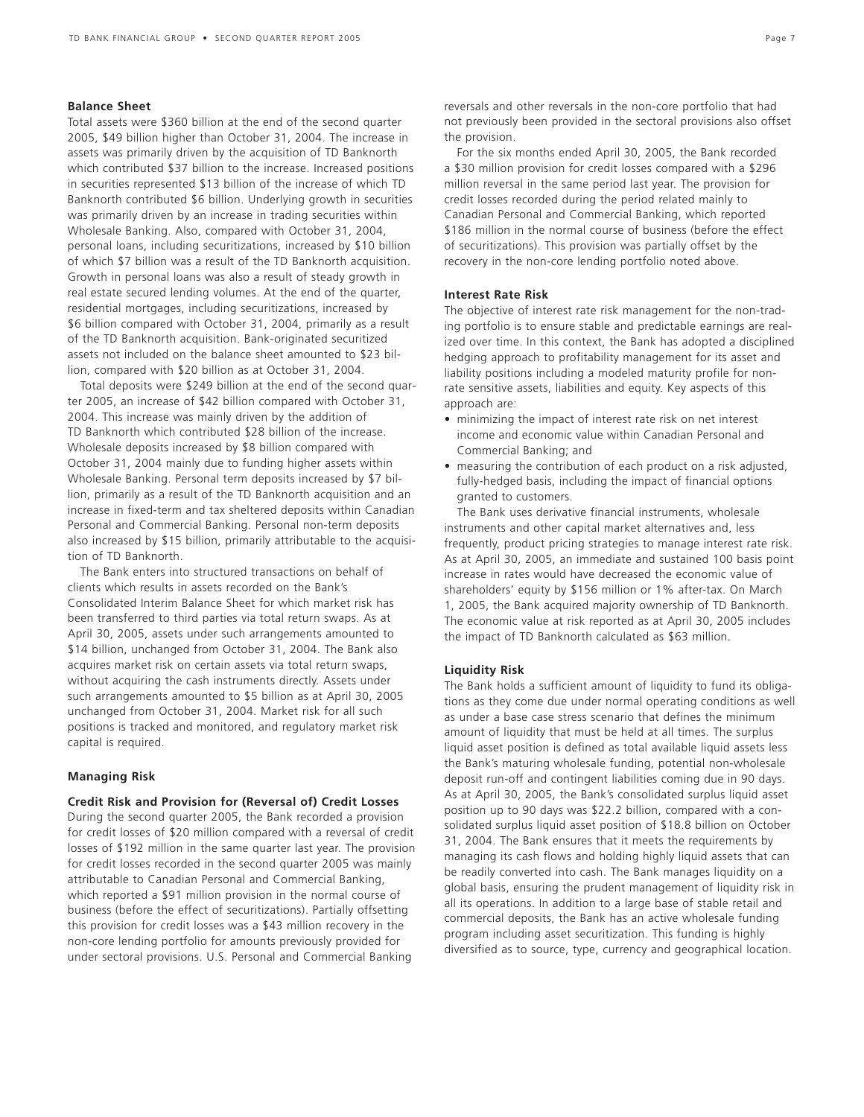### **Balance Sheet**

Total assets were \$360 billion at the end of the second quarter 2005, \$49 billion higher than October 31, 2004. The increase in assets was primarily driven by the acquisition of TD Banknorth which contributed \$37 billion to the increase. Increased positions in securities represented \$13 billion of the increase of which TD Banknorth contributed \$6 billion. Underlying growth in securities was primarily driven by an increase in trading securities within Wholesale Banking. Also, compared with October 31, 2004, personal loans, including securitizations, increased by \$10 billion of which \$7 billion was a result of the TD Banknorth acquisition. Growth in personal loans was also a result of steady growth in real estate secured lending volumes. At the end of the quarter, residential mortgages, including securitizations, increased by \$6 billion compared with October 31, 2004, primarily as a result of the TD Banknorth acquisition. Bank-originated securitized assets not included on the balance sheet amounted to \$23 billion, compared with \$20 billion as at October 31, 2004.

Total deposits were \$249 billion at the end of the second quarter 2005, an increase of \$42 billion compared with October 31, 2004. This increase was mainly driven by the addition of TD Banknorth which contributed \$28 billion of the increase. Wholesale deposits increased by \$8 billion compared with October 31, 2004 mainly due to funding higher assets within Wholesale Banking. Personal term deposits increased by \$7 billion, primarily as a result of the TD Banknorth acquisition and an increase in fixed-term and tax sheltered deposits within Canadian Personal and Commercial Banking. Personal non-term deposits also increased by \$15 billion, primarily attributable to the acquisition of TD Banknorth.

The Bank enters into structured transactions on behalf of clients which results in assets recorded on the Bank's Consolidated Interim Balance Sheet for which market risk has been transferred to third parties via total return swaps. As at April 30, 2005, assets under such arrangements amounted to \$14 billion, unchanged from October 31, 2004. The Bank also acquires market risk on certain assets via total return swaps, without acquiring the cash instruments directly. Assets under such arrangements amounted to \$5 billion as at April 30, 2005 unchanged from October 31, 2004. Market risk for all such positions is tracked and monitored, and regulatory market risk capital is required.

### **Managing Risk**

#### **Credit Risk and Provision for (Reversal of) Credit Losses**

During the second quarter 2005, the Bank recorded a provision for credit losses of \$20 million compared with a reversal of credit losses of \$192 million in the same quarter last year. The provision for credit losses recorded in the second quarter 2005 was mainly attributable to Canadian Personal and Commercial Banking, which reported a \$91 million provision in the normal course of business (before the effect of securitizations). Partially offsetting this provision for credit losses was a \$43 million recovery in the non-core lending portfolio for amounts previously provided for under sectoral provisions. U.S. Personal and Commercial Banking

reversals and other reversals in the non-core portfolio that had not previously been provided in the sectoral provisions also offset the provision.

For the six months ended April 30, 2005, the Bank recorded a \$30 million provision for credit losses compared with a \$296 million reversal in the same period last year. The provision for credit losses recorded during the period related mainly to Canadian Personal and Commercial Banking, which reported \$186 million in the normal course of business (before the effect of securitizations). This provision was partially offset by the recovery in the non-core lending portfolio noted above.

### **Interest Rate Risk**

The objective of interest rate risk management for the non-trading portfolio is to ensure stable and predictable earnings are realized over time. In this context, the Bank has adopted a disciplined hedging approach to profitability management for its asset and liability positions including a modeled maturity profile for nonrate sensitive assets, liabilities and equity. Key aspects of this approach are:

- minimizing the impact of interest rate risk on net interest income and economic value within Canadian Personal and Commercial Banking; and
- measuring the contribution of each product on a risk adjusted, fully-hedged basis, including the impact of financial options granted to customers.

The Bank uses derivative financial instruments, wholesale instruments and other capital market alternatives and, less frequently, product pricing strategies to manage interest rate risk. As at April 30, 2005, an immediate and sustained 100 basis point increase in rates would have decreased the economic value of shareholders' equity by \$156 million or 1% after-tax. On March 1, 2005, the Bank acquired majority ownership of TD Banknorth. The economic value at risk reported as at April 30, 2005 includes the impact of TD Banknorth calculated as \$63 million.

### **Liquidity Risk**

The Bank holds a sufficient amount of liquidity to fund its obligations as they come due under normal operating conditions as well as under a base case stress scenario that defines the minimum amount of liquidity that must be held at all times. The surplus liquid asset position is defined as total available liquid assets less the Bank's maturing wholesale funding, potential non-wholesale deposit run-off and contingent liabilities coming due in 90 days. As at April 30, 2005, the Bank's consolidated surplus liquid asset position up to 90 days was \$22.2 billion, compared with a consolidated surplus liquid asset position of \$18.8 billion on October 31, 2004. The Bank ensures that it meets the requirements by managing its cash flows and holding highly liquid assets that can be readily converted into cash. The Bank manages liquidity on a global basis, ensuring the prudent management of liquidity risk in all its operations. In addition to a large base of stable retail and commercial deposits, the Bank has an active wholesale funding program including asset securitization. This funding is highly diversified as to source, type, currency and geographical location.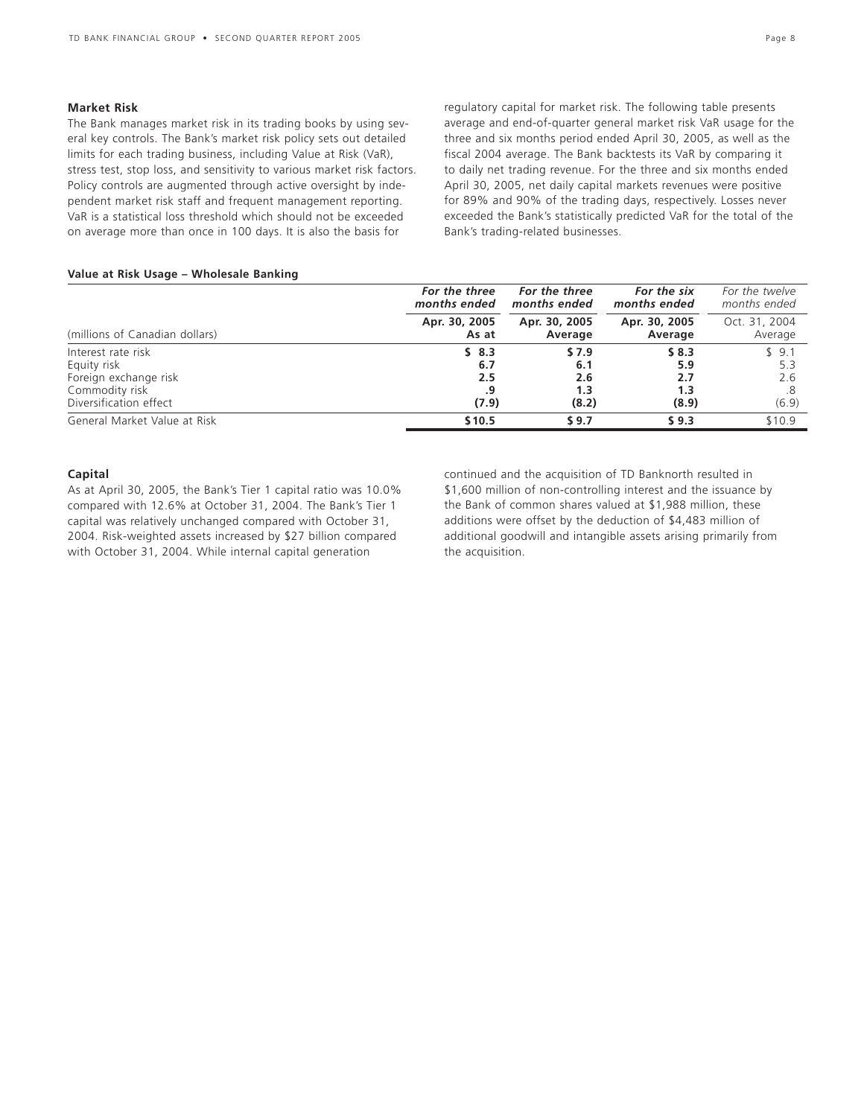### **Market Risk**

The Bank manages market risk in its trading books by using several key controls. The Bank's market risk policy sets out detailed limits for each trading business, including Value at Risk (VaR), stress test, stop loss, and sensitivity to various market risk factors. Policy controls are augmented through active oversight by independent market risk staff and frequent management reporting. VaR is a statistical loss threshold which should not be exceeded on average more than once in 100 days. It is also the basis for

regulatory capital for market risk. The following table presents average and end-of-quarter general market risk VaR usage for the three and six months period ended April 30, 2005, as well as the fiscal 2004 average. The Bank backtests its VaR by comparing it to daily net trading revenue. For the three and six months ended April 30, 2005, net daily capital markets revenues were positive for 89% and 90% of the trading days, respectively. Losses never exceeded the Bank's statistically predicted VaR for the total of the Bank's trading-related businesses.

### **Value at Risk Usage – Wholesale Banking**

|                                | For the three<br>months ended | For the three<br>months ended | For the six<br>months ended | For the twelve<br>months ended |
|--------------------------------|-------------------------------|-------------------------------|-----------------------------|--------------------------------|
| (millions of Canadian dollars) | Apr. 30, 2005<br>As at        | Apr. 30, 2005<br>Average      | Apr. 30, 2005<br>Average    | Oct. 31, 2004<br>Average       |
| Interest rate risk             | \$8.3                         | \$7.9                         | \$8.3                       | \$9.1                          |
| Equity risk                    | 6.7                           | 6.1                           | 5.9                         | 5.3                            |
| Foreign exchange risk          | 2.5                           | 2.6                           | 2.7                         | 2.6                            |
| Commodity risk                 |                               | 1.3                           | 1.3                         |                                |
| Diversification effect         | (7.9)                         | (8.2)                         | (8.9)                       | (6.9)                          |
| General Market Value at Risk   | \$10.5                        | \$9.7                         | \$9.3                       | \$10.9                         |

### **Capital**

As at April 30, 2005, the Bank's Tier 1 capital ratio was 10.0% compared with 12.6% at October 31, 2004. The Bank's Tier 1 capital was relatively unchanged compared with October 31, 2004. Risk-weighted assets increased by \$27 billion compared with October 31, 2004. While internal capital generation

continued and the acquisition of TD Banknorth resulted in \$1,600 million of non-controlling interest and the issuance by the Bank of common shares valued at \$1,988 million, these additions were offset by the deduction of \$4,483 million of additional goodwill and intangible assets arising primarily from the acquisition.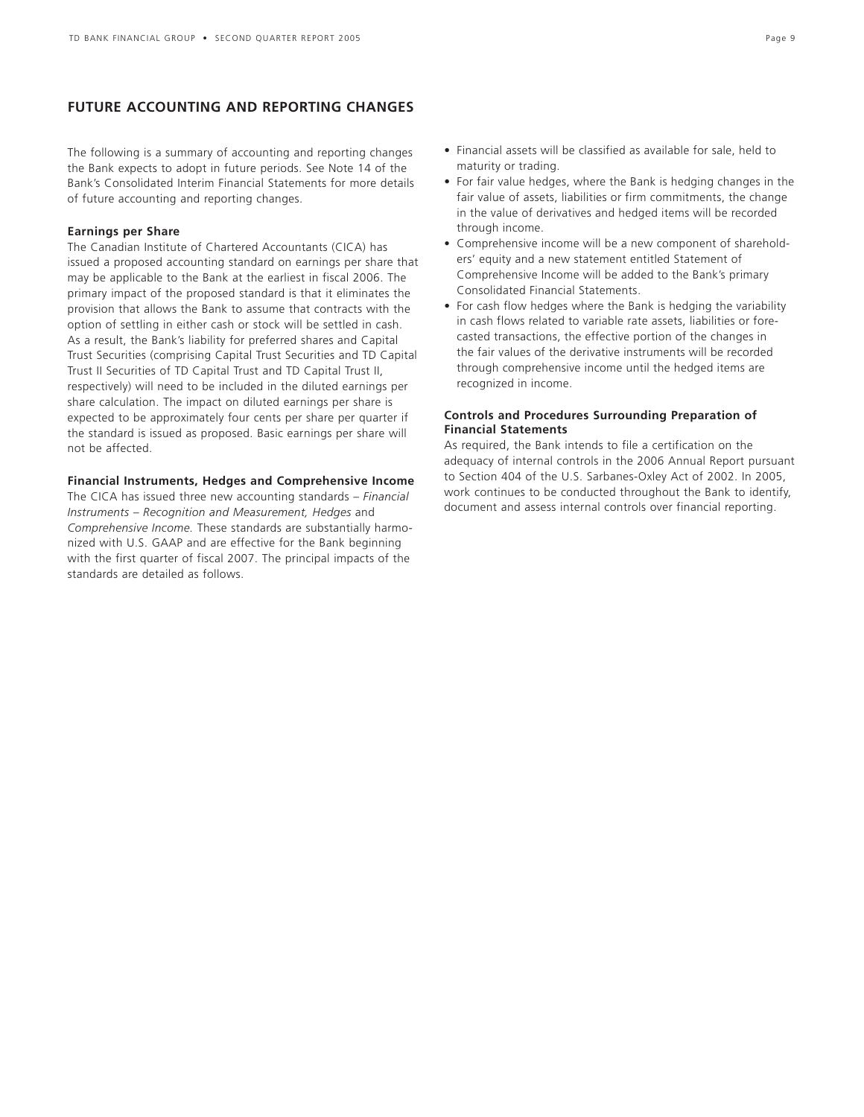### **FUTURE ACCOUNTING AND REPORTING CHANGES**

The following is a summary of accounting and reporting changes the Bank expects to adopt in future periods. See Note 14 of the Bank's Consolidated Interim Financial Statements for more details of future accounting and reporting changes.

### **Earnings per Share**

The Canadian Institute of Chartered Accountants (CICA) has issued a proposed accounting standard on earnings per share that may be applicable to the Bank at the earliest in fiscal 2006. The primary impact of the proposed standard is that it eliminates the provision that allows the Bank to assume that contracts with the option of settling in either cash or stock will be settled in cash. As a result, the Bank's liability for preferred shares and Capital Trust Securities (comprising Capital Trust Securities and TD Capital Trust II Securities of TD Capital Trust and TD Capital Trust II, respectively) will need to be included in the diluted earnings per share calculation. The impact on diluted earnings per share is expected to be approximately four cents per share per quarter if the standard is issued as proposed. Basic earnings per share will not be affected.

### **Financial Instruments, Hedges and Comprehensive Income**

The CICA has issued three new accounting standards – *Financial Instruments – Recognition and Measurement, Hedges* and *Comprehensive Income.* These standards are substantially harmonized with U.S. GAAP and are effective for the Bank beginning with the first quarter of fiscal 2007. The principal impacts of the standards are detailed as follows.

- Financial assets will be classified as available for sale, held to maturity or trading.
- For fair value hedges, where the Bank is hedging changes in the fair value of assets, liabilities or firm commitments, the change in the value of derivatives and hedged items will be recorded through income.
- Comprehensive income will be a new component of shareholders' equity and a new statement entitled Statement of Comprehensive Income will be added to the Bank's primary Consolidated Financial Statements.
- For cash flow hedges where the Bank is hedging the variability in cash flows related to variable rate assets, liabilities or forecasted transactions, the effective portion of the changes in the fair values of the derivative instruments will be recorded through comprehensive income until the hedged items are recognized in income.

### **Controls and Procedures Surrounding Preparation of Financial Statements**

As required, the Bank intends to file a certification on the adequacy of internal controls in the 2006 Annual Report pursuant to Section 404 of the U.S. Sarbanes-Oxley Act of 2002. In 2005, work continues to be conducted throughout the Bank to identify, document and assess internal controls over financial reporting.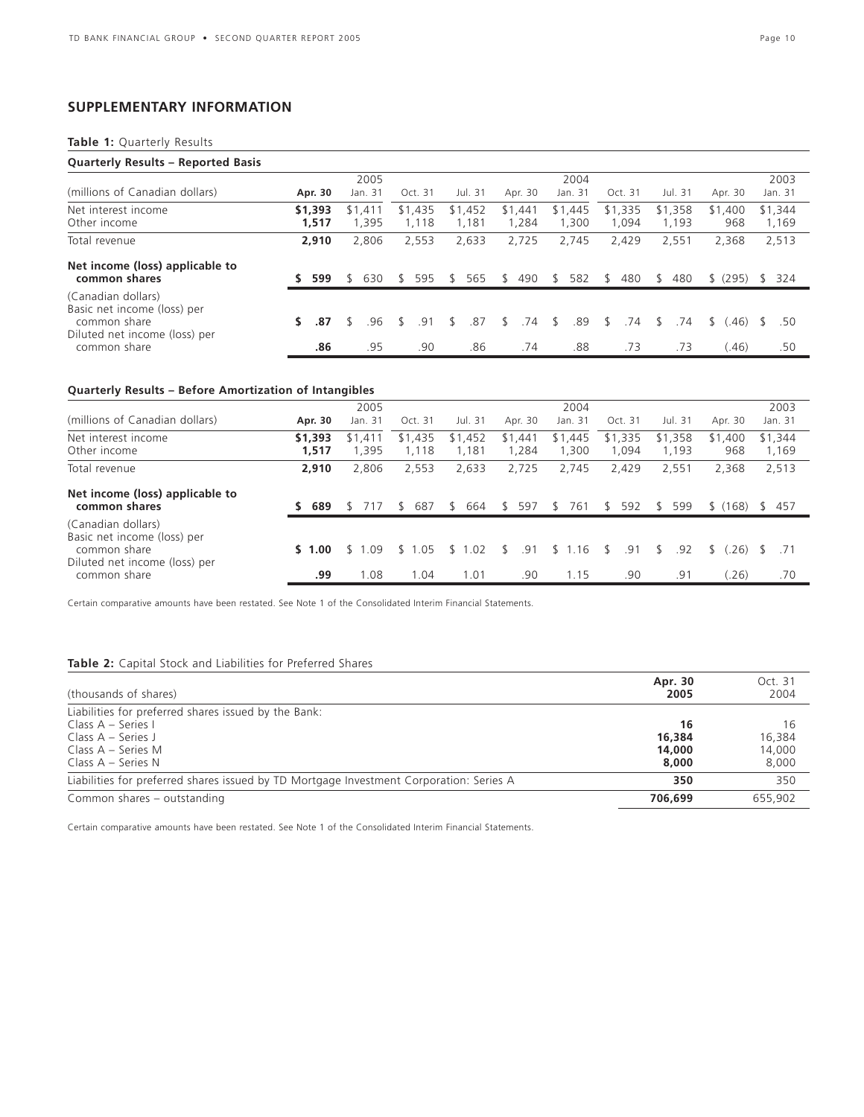### **SUPPLEMENTARY INFORMATION**

### **Table 1:** Quarterly Results

| <b>Quarterly Results - Reported Basis</b>                         |    |                  |                  |                  |                  |                  |                  |                  |                  |                |                      |
|-------------------------------------------------------------------|----|------------------|------------------|------------------|------------------|------------------|------------------|------------------|------------------|----------------|----------------------|
|                                                                   |    |                  | 2005             |                  |                  |                  | 2004             |                  |                  |                | 2003                 |
| (millions of Canadian dollars)                                    |    | Apr. 30          | Jan. 31          | Oct. 31          | Jul. 31          | Apr. 30          | Jan. 31          | Oct. 31          | Jul. 31          | Apr. 30        | Jan. 31              |
| Net interest income<br>Other income                               |    | \$1,393<br>1,517 | \$1.411<br>1.395 | \$1,435<br>1,118 | \$1,452<br>1,181 | \$1,441<br>1.284 | \$1,445<br>1,300 | \$1,335<br>1.094 | \$1,358<br>1,193 | \$1,400<br>968 | \$1,344<br>1,169     |
| Total revenue                                                     |    | 2,910            | 2,806            | 2,553            | 2,633            | 2,725            | 2,745            | 2,429            | 2,551            | 2,368          | 2,513                |
| Net income (loss) applicable to<br>common shares                  |    | 599              | 630<br>S         | 595              | 565<br>S.        | 490<br>\$        | 582<br>\$.       | 480<br>\$.       | 480<br>\$.       | \$ (295)       | 324<br><sup>\$</sup> |
| (Canadian dollars)<br>Basic net income (loss) per<br>common share | S. | .87              | .96              | .91              | .87<br>\$        | .74<br>\$        | .89<br>\$        | .74<br>\$.       | .74<br>\$.       | .46)<br>\$.    | .50<br><sup>\$</sup> |
| Diluted net income (loss) per<br>common share                     |    | .86              | .95              | .90              | .86              | .74              | .88              | .73              | .73              | (46)           | .50                  |

### **Quarterly Results – Before Amortization of Intangibles**

|                                                                                                    |                  | 2005            |                 |                  |                  | 2004             |                  |                  |                  | 2003             |
|----------------------------------------------------------------------------------------------------|------------------|-----------------|-----------------|------------------|------------------|------------------|------------------|------------------|------------------|------------------|
| (millions of Canadian dollars)                                                                     | Apr. 30          | Jan. 31         | Oct. 31         | Jul. 31          | Apr. 30          | Jan. 31          | Oct. 31          | Jul. 31          | Apr. 30          | Jan. 31          |
| Net interest income<br>Other income                                                                | \$1,393<br>1,517 | \$1.411<br>.395 | \$1,435<br>,118 | \$1,452<br>1,181 | \$1,441<br>1.284 | \$1,445<br>1,300 | \$1,335<br>1,094 | \$1,358<br>1.193 | \$1,400<br>968   | \$1,344<br>1,169 |
| Total revenue                                                                                      | 2,910            | 2,806           | 2.553           | 2,633            | 2,725            | 2.745            | 2.429            | 2,551            | 2,368            | 2,513            |
| Net income (loss) applicable to<br>common shares                                                   | 689              | 717             | 687             | 664<br>S.        | 597<br>\$.       | 761<br>S.        | 592<br>S         | 599<br>\$        | (168)<br>S.      | -457<br>\$.      |
| (Canadian dollars)<br>Basic net income (loss) per<br>common share<br>Diluted net income (loss) per | \$1.00           | .09             | .05             | .02<br>\$.       | .91              | 1.16<br>\$.      | .91<br>ና         | .92<br>S.        | 26)              |                  |
| common share                                                                                       | .99              | 1.08            | 1.04            | 1.01             | .90              | 1.15             | .90              | .91              | $^{\prime}$ .26) | .70              |

Certain comparative amounts have been restated. See Note 1 of the Consolidated Interim Financial Statements.

### **Table 2:** Capital Stock and Liabilities for Preferred Shares

| (thousands of shares)                                                                   | Apr. 30<br>2005 | Oct. 31<br>2004 |
|-----------------------------------------------------------------------------------------|-----------------|-----------------|
| Liabilities for preferred shares issued by the Bank:                                    |                 |                 |
| Class A - Series I                                                                      | 16              | 16              |
| Class $A -$ Series J                                                                    | 16,384          | 16,384          |
| Class A – Series M                                                                      | 14,000          | 14,000          |
| Class $A -$ Series N                                                                    | 8,000           | 8,000           |
| Liabilities for preferred shares issued by TD Mortgage Investment Corporation: Series A | 350             | 350             |
| Common shares - outstanding                                                             | 706.699         | 655,902         |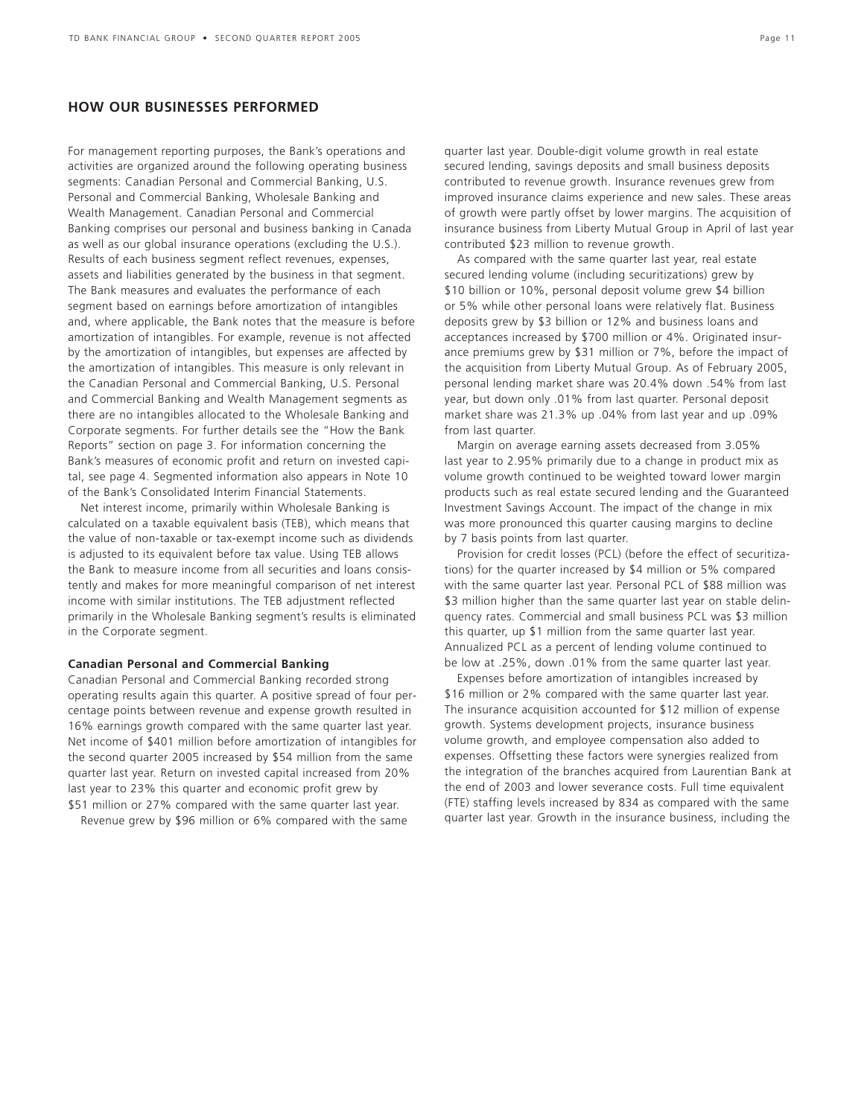### **HOW OUR BUSINESSES PERFORMED**

For management reporting purposes, the Bank's operations and activities are organized around the following operating business segments: Canadian Personal and Commercial Banking, U.S. Personal and Commercial Banking, Wholesale Banking and Wealth Management. Canadian Personal and Commercial Banking comprises our personal and business banking in Canada as well as our global insurance operations (excluding the U.S.). Results of each business segment reflect revenues, expenses, assets and liabilities generated by the business in that segment. The Bank measures and evaluates the performance of each segment based on earnings before amortization of intangibles and, where applicable, the Bank notes that the measure is before amortization of intangibles. For example, revenue is not affected by the amortization of intangibles, but expenses are affected by the amortization of intangibles. This measure is only relevant in the Canadian Personal and Commercial Banking, U.S. Personal and Commercial Banking and Wealth Management segments as there are no intangibles allocated to the Wholesale Banking and Corporate segments. For further details see the "How the Bank Reports" section on page 3. For information concerning the Bank's measures of economic profit and return on invested capital, see page 4. Segmented information also appears in Note 10 of the Bank's Consolidated Interim Financial Statements.

Net interest income, primarily within Wholesale Banking is calculated on a taxable equivalent basis (TEB), which means that the value of non-taxable or tax-exempt income such as dividends is adjusted to its equivalent before tax value. Using TEB allows the Bank to measure income from all securities and loans consistently and makes for more meaningful comparison of net interest income with similar institutions. The TEB adjustment reflected primarily in the Wholesale Banking segment's results is eliminated in the Corporate segment.

### **Canadian Personal and Commercial Banking**

Canadian Personal and Commercial Banking recorded strong operating results again this quarter. A positive spread of four percentage points between revenue and expense growth resulted in 16% earnings growth compared with the same quarter last year. Net income of \$401 million before amortization of intangibles for the second quarter 2005 increased by \$54 million from the same quarter last year. Return on invested capital increased from 20% last year to 23% this quarter and economic profit grew by \$51 million or 27% compared with the same quarter last year.

Revenue grew by \$96 million or 6% compared with the same

quarter last year. Double-digit volume growth in real estate secured lending, savings deposits and small business deposits contributed to revenue growth. Insurance revenues grew from improved insurance claims experience and new sales. These areas of growth were partly offset by lower margins. The acquisition of insurance business from Liberty Mutual Group in April of last year contributed \$23 million to revenue growth.

As compared with the same quarter last year, real estate secured lending volume (including securitizations) grew by \$10 billion or 10%, personal deposit volume grew \$4 billion or 5% while other personal loans were relatively flat. Business deposits grew by \$3 billion or 12% and business loans and acceptances increased by \$700 million or 4%. Originated insurance premiums grew by \$31 million or 7%, before the impact of the acquisition from Liberty Mutual Group. As of February 2005, personal lending market share was 20.4% down .54% from last year, but down only .01% from last quarter. Personal deposit market share was 21.3% up .04% from last year and up .09% from last quarter.

Margin on average earning assets decreased from 3.05% last year to 2.95% primarily due to a change in product mix as volume growth continued to be weighted toward lower margin products such as real estate secured lending and the Guaranteed Investment Savings Account. The impact of the change in mix was more pronounced this quarter causing margins to decline by 7 basis points from last quarter.

Provision for credit losses (PCL) (before the effect of securitizations) for the quarter increased by \$4 million or 5% compared with the same quarter last year. Personal PCL of \$88 million was \$3 million higher than the same quarter last year on stable delinquency rates. Commercial and small business PCL was \$3 million this quarter, up \$1 million from the same quarter last year. Annualized PCL as a percent of lending volume continued to be low at .25%, down .01% from the same quarter last year.

Expenses before amortization of intangibles increased by \$16 million or 2% compared with the same quarter last year. The insurance acquisition accounted for \$12 million of expense growth. Systems development projects, insurance business volume growth, and employee compensation also added to expenses. Offsetting these factors were synergies realized from the integration of the branches acquired from Laurentian Bank at the end of 2003 and lower severance costs. Full time equivalent (FTE) staffing levels increased by 834 as compared with the same quarter last year. Growth in the insurance business, including the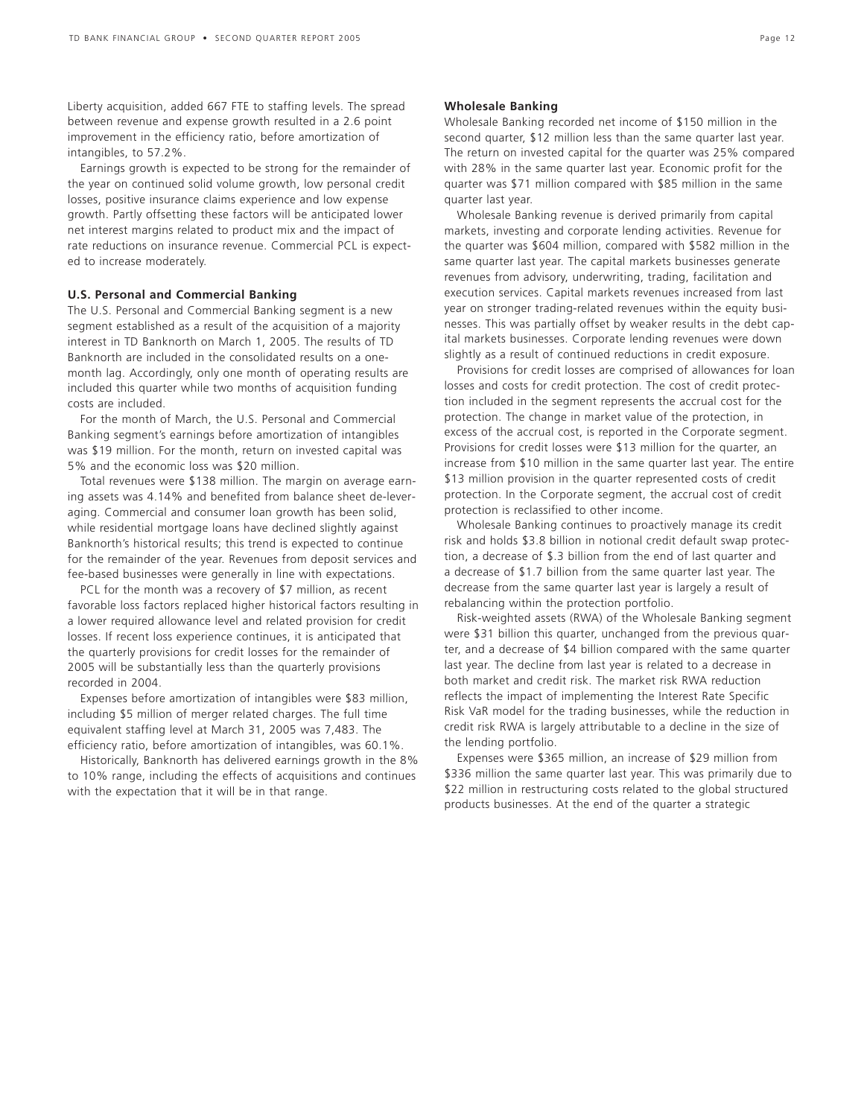Liberty acquisition, added 667 FTE to staffing levels. The spread between revenue and expense growth resulted in a 2.6 point improvement in the efficiency ratio, before amortization of intangibles, to 57.2%.

Earnings growth is expected to be strong for the remainder of the year on continued solid volume growth, low personal credit losses, positive insurance claims experience and low expense growth. Partly offsetting these factors will be anticipated lower net interest margins related to product mix and the impact of rate reductions on insurance revenue. Commercial PCL is expected to increase moderately.

### **U.S. Personal and Commercial Banking**

The U.S. Personal and Commercial Banking segment is a new segment established as a result of the acquisition of a majority interest in TD Banknorth on March 1, 2005. The results of TD Banknorth are included in the consolidated results on a onemonth lag. Accordingly, only one month of operating results are included this quarter while two months of acquisition funding costs are included.

For the month of March, the U.S. Personal and Commercial Banking segment's earnings before amortization of intangibles was \$19 million. For the month, return on invested capital was 5% and the economic loss was \$20 million.

Total revenues were \$138 million. The margin on average earning assets was 4.14% and benefited from balance sheet de-leveraging. Commercial and consumer loan growth has been solid, while residential mortgage loans have declined slightly against Banknorth's historical results; this trend is expected to continue for the remainder of the year. Revenues from deposit services and fee-based businesses were generally in line with expectations.

PCL for the month was a recovery of \$7 million, as recent favorable loss factors replaced higher historical factors resulting in a lower required allowance level and related provision for credit losses. If recent loss experience continues, it is anticipated that the quarterly provisions for credit losses for the remainder of 2005 will be substantially less than the quarterly provisions recorded in 2004.

Expenses before amortization of intangibles were \$83 million, including \$5 million of merger related charges. The full time equivalent staffing level at March 31, 2005 was 7,483. The efficiency ratio, before amortization of intangibles, was 60.1%.

Historically, Banknorth has delivered earnings growth in the 8% to 10% range, including the effects of acquisitions and continues with the expectation that it will be in that range.

### **Wholesale Banking**

Wholesale Banking recorded net income of \$150 million in the second quarter, \$12 million less than the same quarter last year. The return on invested capital for the quarter was 25% compared with 28% in the same quarter last year. Economic profit for the quarter was \$71 million compared with \$85 million in the same quarter last year.

Wholesale Banking revenue is derived primarily from capital markets, investing and corporate lending activities. Revenue for the quarter was \$604 million, compared with \$582 million in the same quarter last year. The capital markets businesses generate revenues from advisory, underwriting, trading, facilitation and execution services. Capital markets revenues increased from last year on stronger trading-related revenues within the equity businesses. This was partially offset by weaker results in the debt capital markets businesses. Corporate lending revenues were down slightly as a result of continued reductions in credit exposure.

Provisions for credit losses are comprised of allowances for loan losses and costs for credit protection. The cost of credit protection included in the segment represents the accrual cost for the protection. The change in market value of the protection, in excess of the accrual cost, is reported in the Corporate segment. Provisions for credit losses were \$13 million for the quarter, an increase from \$10 million in the same quarter last year. The entire \$13 million provision in the quarter represented costs of credit protection. In the Corporate segment, the accrual cost of credit protection is reclassified to other income.

Wholesale Banking continues to proactively manage its credit risk and holds \$3.8 billion in notional credit default swap protection, a decrease of \$.3 billion from the end of last quarter and a decrease of \$1.7 billion from the same quarter last year. The decrease from the same quarter last year is largely a result of rebalancing within the protection portfolio.

Risk-weighted assets (RWA) of the Wholesale Banking segment were \$31 billion this quarter, unchanged from the previous quarter, and a decrease of \$4 billion compared with the same quarter last year. The decline from last year is related to a decrease in both market and credit risk. The market risk RWA reduction reflects the impact of implementing the Interest Rate Specific Risk VaR model for the trading businesses, while the reduction in credit risk RWA is largely attributable to a decline in the size of the lending portfolio.

Expenses were \$365 million, an increase of \$29 million from \$336 million the same quarter last year. This was primarily due to \$22 million in restructuring costs related to the global structured products businesses. At the end of the quarter a strategic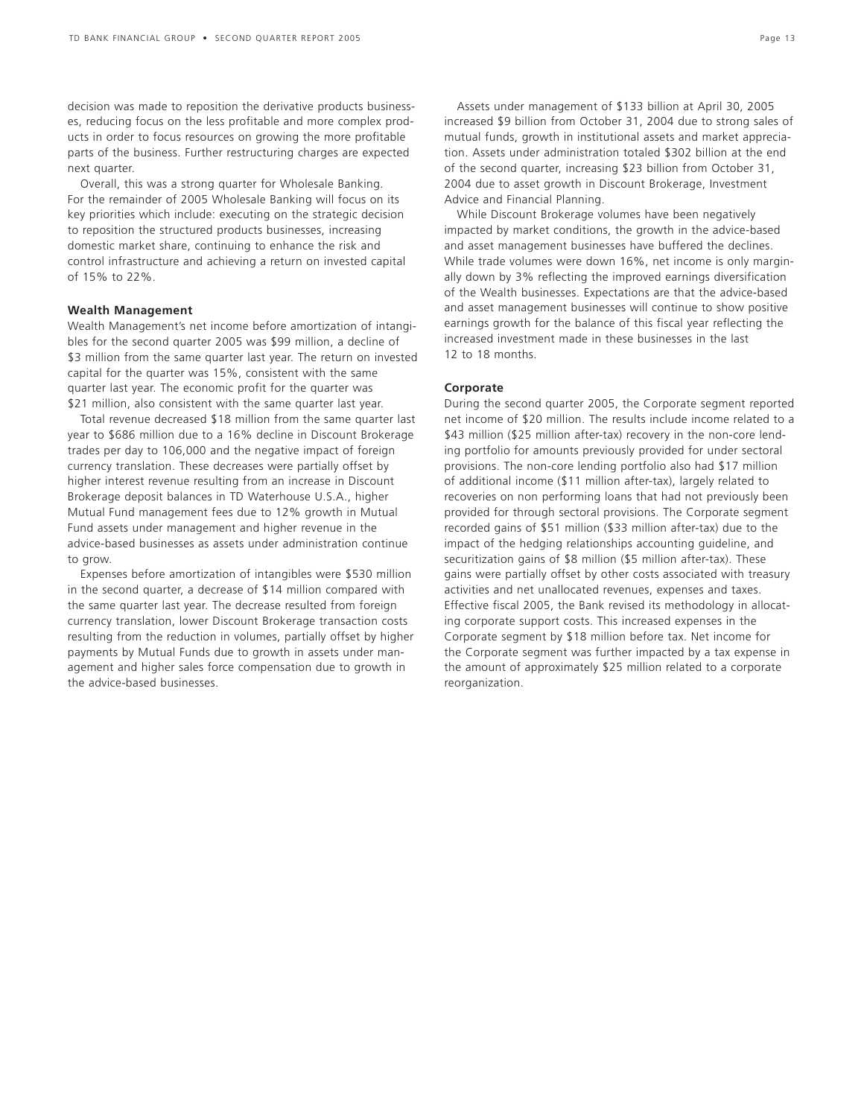decision was made to reposition the derivative products businesses, reducing focus on the less profitable and more complex products in order to focus resources on growing the more profitable parts of the business. Further restructuring charges are expected next quarter.

Overall, this was a strong quarter for Wholesale Banking. For the remainder of 2005 Wholesale Banking will focus on its key priorities which include: executing on the strategic decision to reposition the structured products businesses, increasing domestic market share, continuing to enhance the risk and control infrastructure and achieving a return on invested capital of 15% to 22%.

### **Wealth Management**

Wealth Management's net income before amortization of intangibles for the second quarter 2005 was \$99 million, a decline of \$3 million from the same quarter last year. The return on invested capital for the quarter was 15%, consistent with the same quarter last year. The economic profit for the quarter was \$21 million, also consistent with the same quarter last year.

Total revenue decreased \$18 million from the same quarter last year to \$686 million due to a 16% decline in Discount Brokerage trades per day to 106,000 and the negative impact of foreign currency translation. These decreases were partially offset by higher interest revenue resulting from an increase in Discount Brokerage deposit balances in TD Waterhouse U.S.A., higher Mutual Fund management fees due to 12% growth in Mutual Fund assets under management and higher revenue in the advice-based businesses as assets under administration continue to grow.

Expenses before amortization of intangibles were \$530 million in the second quarter, a decrease of \$14 million compared with the same quarter last year. The decrease resulted from foreign currency translation, lower Discount Brokerage transaction costs resulting from the reduction in volumes, partially offset by higher payments by Mutual Funds due to growth in assets under management and higher sales force compensation due to growth in the advice-based businesses.

Assets under management of \$133 billion at April 30, 2005 increased \$9 billion from October 31, 2004 due to strong sales of mutual funds, growth in institutional assets and market appreciation. Assets under administration totaled \$302 billion at the end of the second quarter, increasing \$23 billion from October 31, 2004 due to asset growth in Discount Brokerage, Investment Advice and Financial Planning.

While Discount Brokerage volumes have been negatively impacted by market conditions, the growth in the advice-based and asset management businesses have buffered the declines. While trade volumes were down 16%, net income is only marginally down by 3% reflecting the improved earnings diversification of the Wealth businesses. Expectations are that the advice-based and asset management businesses will continue to show positive earnings growth for the balance of this fiscal year reflecting the increased investment made in these businesses in the last 12 to 18 months.

### **Corporate**

During the second quarter 2005, the Corporate segment reported net income of \$20 million. The results include income related to a \$43 million (\$25 million after-tax) recovery in the non-core lending portfolio for amounts previously provided for under sectoral provisions. The non-core lending portfolio also had \$17 million of additional income (\$11 million after-tax), largely related to recoveries on non performing loans that had not previously been provided for through sectoral provisions. The Corporate segment recorded gains of \$51 million (\$33 million after-tax) due to the impact of the hedging relationships accounting guideline, and securitization gains of \$8 million (\$5 million after-tax). These gains were partially offset by other costs associated with treasury activities and net unallocated revenues, expenses and taxes. Effective fiscal 2005, the Bank revised its methodology in allocating corporate support costs. This increased expenses in the Corporate segment by \$18 million before tax. Net income for the Corporate segment was further impacted by a tax expense in the amount of approximately \$25 million related to a corporate reorganization.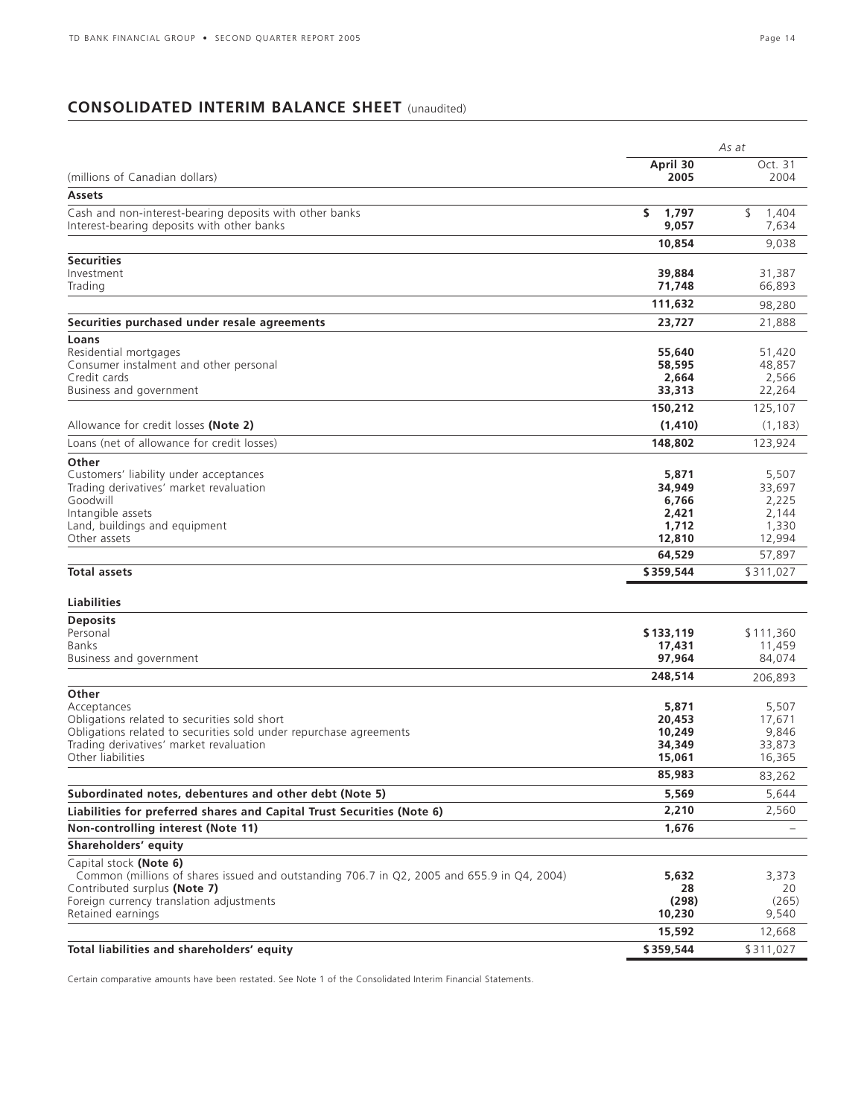## **CONSOLIDATED INTERIM BALANCE SHEET** (unaudited)

|                                                                                                                            |                       | As at                |
|----------------------------------------------------------------------------------------------------------------------------|-----------------------|----------------------|
|                                                                                                                            | April 30              | Oct. 31              |
| (millions of Canadian dollars)                                                                                             | 2005                  | 2004                 |
| Assets                                                                                                                     |                       |                      |
| Cash and non-interest-bearing deposits with other banks<br>Interest-bearing deposits with other banks                      | \$.<br>1.797<br>9,057 | \$<br>1,404<br>7,634 |
|                                                                                                                            | 10,854                | 9,038                |
| <b>Securities</b>                                                                                                          |                       |                      |
| Investment                                                                                                                 | 39,884                | 31,387               |
| Trading                                                                                                                    | 71,748                | 66,893               |
|                                                                                                                            | 111,632               | 98,280               |
| Securities purchased under resale agreements                                                                               | 23,727                | 21,888               |
| Loans                                                                                                                      |                       |                      |
| Residential mortgages                                                                                                      | 55,640                | 51,420               |
| Consumer instalment and other personal<br>Credit cards                                                                     | 58,595<br>2,664       | 48,857<br>2,566      |
| Business and government                                                                                                    | 33,313                | 22,264               |
|                                                                                                                            | 150,212               | 125,107              |
| Allowance for credit losses (Note 2)                                                                                       | (1, 410)              | (1, 183)             |
| Loans (net of allowance for credit losses)                                                                                 | 148,802               | 123,924              |
| Other                                                                                                                      |                       |                      |
| Customers' liability under acceptances                                                                                     | 5,871                 | 5,507                |
| Trading derivatives' market revaluation                                                                                    | 34,949                | 33,697               |
| Goodwill<br>Intangible assets                                                                                              | 6,766<br>2,421        | 2,225<br>2,144       |
| Land, buildings and equipment                                                                                              | 1,712                 | 1,330                |
| Other assets                                                                                                               | 12,810                | 12,994               |
|                                                                                                                            | 64,529                | 57,897               |
| <b>Total assets</b>                                                                                                        | \$359,544             | \$311,027            |
| <b>Liabilities</b>                                                                                                         |                       |                      |
| <b>Deposits</b>                                                                                                            |                       |                      |
| Personal                                                                                                                   | \$133,119             | \$111,360            |
| <b>Banks</b>                                                                                                               | 17,431                | 11,459               |
| Business and government                                                                                                    | 97,964                | 84,074               |
|                                                                                                                            | 248,514               | 206,893              |
| Other                                                                                                                      |                       |                      |
| Acceptances<br>Obligations related to securities sold short                                                                | 5,871<br>20,453       | 5,507<br>17,671      |
| Obligations related to securities sold under repurchase agreements                                                         | 10,249                | 9,846                |
| Trading derivatives' market revaluation                                                                                    | 34,349                | 33,873               |
| Other liabilities                                                                                                          | 15,061                | 16,365               |
|                                                                                                                            | 85,983                | 83,262               |
| Subordinated notes, debentures and other debt (Note 5)                                                                     | 5,569                 | 5,644                |
| Liabilities for preferred shares and Capital Trust Securities (Note 6)                                                     | 2,210                 | 2,560                |
| Non-controlling interest (Note 11)                                                                                         | 1,676                 |                      |
| Shareholders' equity                                                                                                       |                       |                      |
| Capital stock (Note 6)                                                                                                     |                       |                      |
| Common (millions of shares issued and outstanding 706.7 in Q2, 2005 and 655.9 in Q4, 2004)<br>Contributed surplus (Note 7) | 5,632<br>28           | 3,373<br>20          |
| Foreign currency translation adjustments                                                                                   | (298)                 | (265)                |
| Retained earnings                                                                                                          | 10,230                | 9,540                |
|                                                                                                                            | 15,592                | 12,668               |
| Total liabilities and shareholders' equity                                                                                 | \$359,544             | \$311,027            |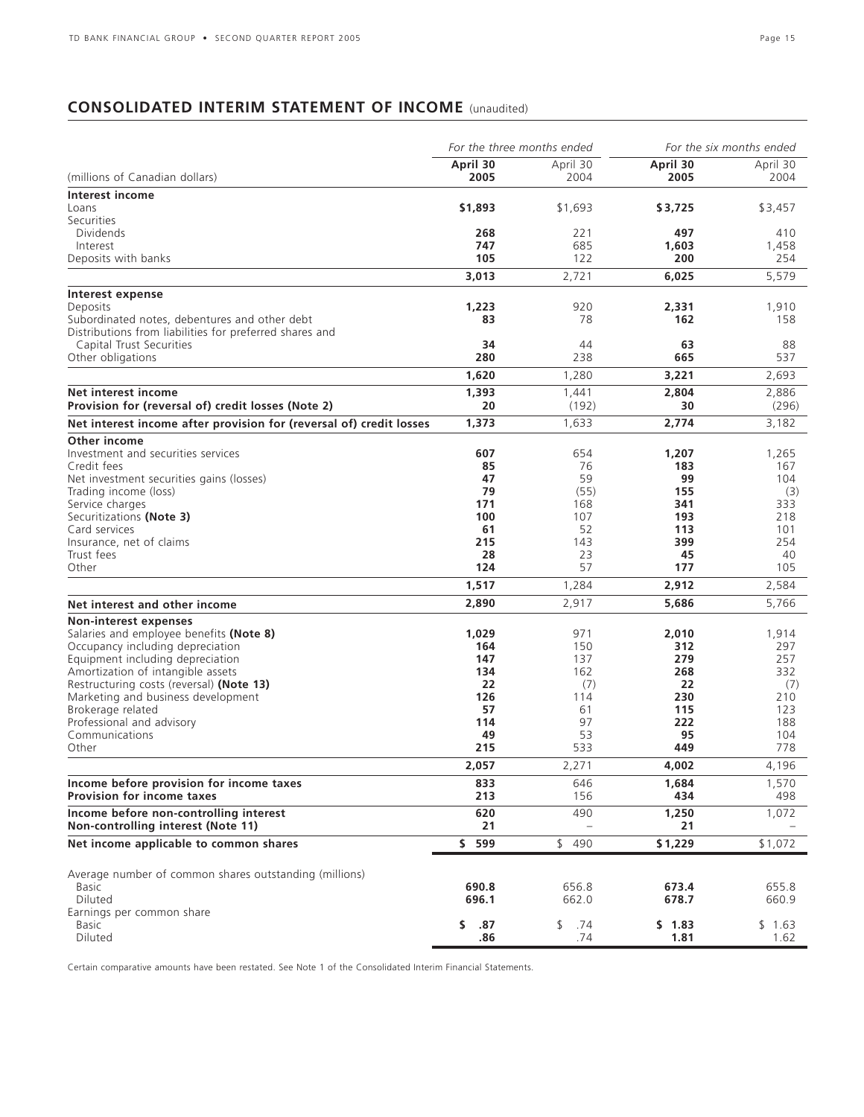# **CONSOLIDATED INTERIM STATEMENT OF INCOME** (unaudited)

|                                                                               | For the three months ended |            |              | For the six months ended |
|-------------------------------------------------------------------------------|----------------------------|------------|--------------|--------------------------|
|                                                                               | April 30                   | April 30   | April 30     | April 30                 |
| (millions of Canadian dollars)                                                | 2005                       | 2004       | 2005         | 2004                     |
| Interest income                                                               |                            |            |              |                          |
| Loans                                                                         | \$1,893                    | \$1,693    | \$3,725      | \$3,457                  |
| Securities<br>Dividends                                                       | 268                        | 221        | 497          |                          |
| Interest                                                                      | 747                        | 685        | 1,603        | 410<br>1,458             |
| Deposits with banks                                                           | 105                        | 122        | 200          | 254                      |
|                                                                               | 3,013                      | 2,721      | 6,025        | 5,579                    |
|                                                                               |                            |            |              |                          |
| Interest expense<br>Deposits                                                  | 1,223                      | 920        | 2,331        | 1,910                    |
| Subordinated notes, debentures and other debt                                 | 83                         | 78         | 162          | 158                      |
| Distributions from liabilities for preferred shares and                       |                            |            |              |                          |
| Capital Trust Securities                                                      | 34                         | 44         | 63           | 88                       |
| Other obligations                                                             | 280                        | 238        | 665          | 537                      |
|                                                                               | 1,620                      | 1,280      | 3,221        | 2,693                    |
| Net interest income                                                           | 1,393                      | 1,441      | 2,804        | 2,886                    |
| Provision for (reversal of) credit losses (Note 2)                            | 20                         | (192)      | 30           | (296)                    |
| Net interest income after provision for (reversal of) credit losses           | 1,373                      | 1,633      | 2,774        | 3,182                    |
| Other income                                                                  |                            |            |              |                          |
| Investment and securities services                                            | 607                        | 654        | 1,207        | 1,265                    |
| Credit fees                                                                   | 85                         | 76         | 183          | 167                      |
| Net investment securities gains (losses)                                      | 47                         | 59         | 99           | 104                      |
| Trading income (loss)                                                         | 79                         | (55)       | 155          | (3)                      |
| Service charges                                                               | 171                        | 168        | 341          | 333                      |
| Securitizations (Note 3)                                                      | 100                        | 107        | 193          | 218                      |
| Card services                                                                 | 61                         | 52         | 113          | 101                      |
| Insurance, net of claims<br>Trust fees                                        | 215<br>28                  | 143<br>23  | 399<br>45    | 254<br>40                |
| Other                                                                         | 124                        | 57         | 177          | 105                      |
|                                                                               | 1,517                      | 1,284      | 2,912        | 2,584                    |
| Net interest and other income                                                 | 2,890                      | 2,917      | 5,686        | 5,766                    |
| Non-interest expenses                                                         |                            |            |              |                          |
| Salaries and employee benefits (Note 8)                                       | 1,029                      | 971        | 2,010        | 1,914                    |
| Occupancy including depreciation                                              | 164                        | 150        | 312          | 297                      |
| Equipment including depreciation                                              | 147                        | 137        | 279          | 257                      |
| Amortization of intangible assets                                             | 134                        | 162        | 268          | 332                      |
| Restructuring costs (reversal) (Note 13)                                      | 22                         | (7)        | 22           | (7)                      |
| Marketing and business development                                            | 126                        | 114        | 230          | 210                      |
| Brokerage related                                                             | 57                         | 61         | 115          | 123                      |
| Professional and advisory<br>Communications                                   | 114                        | 97         | 222          | 188                      |
| Other                                                                         | 49<br>215                  | 53<br>533  | 95<br>449    | 104<br>778               |
|                                                                               | 2,057                      | 2,271      | 4,002        | 4,196                    |
|                                                                               |                            |            |              |                          |
| Income before provision for income taxes<br><b>Provision for income taxes</b> | 833<br>213                 | 646<br>156 | 1,684<br>434 | 1,570<br>498             |
| Income before non-controlling interest                                        | 620                        | 490        | 1,250        | 1,072                    |
| Non-controlling interest (Note 11)                                            | 21                         |            | 21           |                          |
| Net income applicable to common shares                                        | \$ 599                     | \$490      | \$1,229      | \$1,072                  |
|                                                                               |                            |            |              |                          |
| Average number of common shares outstanding (millions)                        |                            |            |              |                          |
| <b>Basic</b>                                                                  | 690.8                      | 656.8      | 673.4        | 655.8                    |
| Diluted<br>Earnings per common share                                          | 696.1                      | 662.0      | 678.7        | 660.9                    |
| <b>Basic</b>                                                                  | \$.<br>.87                 | \$<br>.74  | \$1.83       | \$1.63                   |
| Diluted                                                                       | .86                        | .74        | 1.81         | 1.62                     |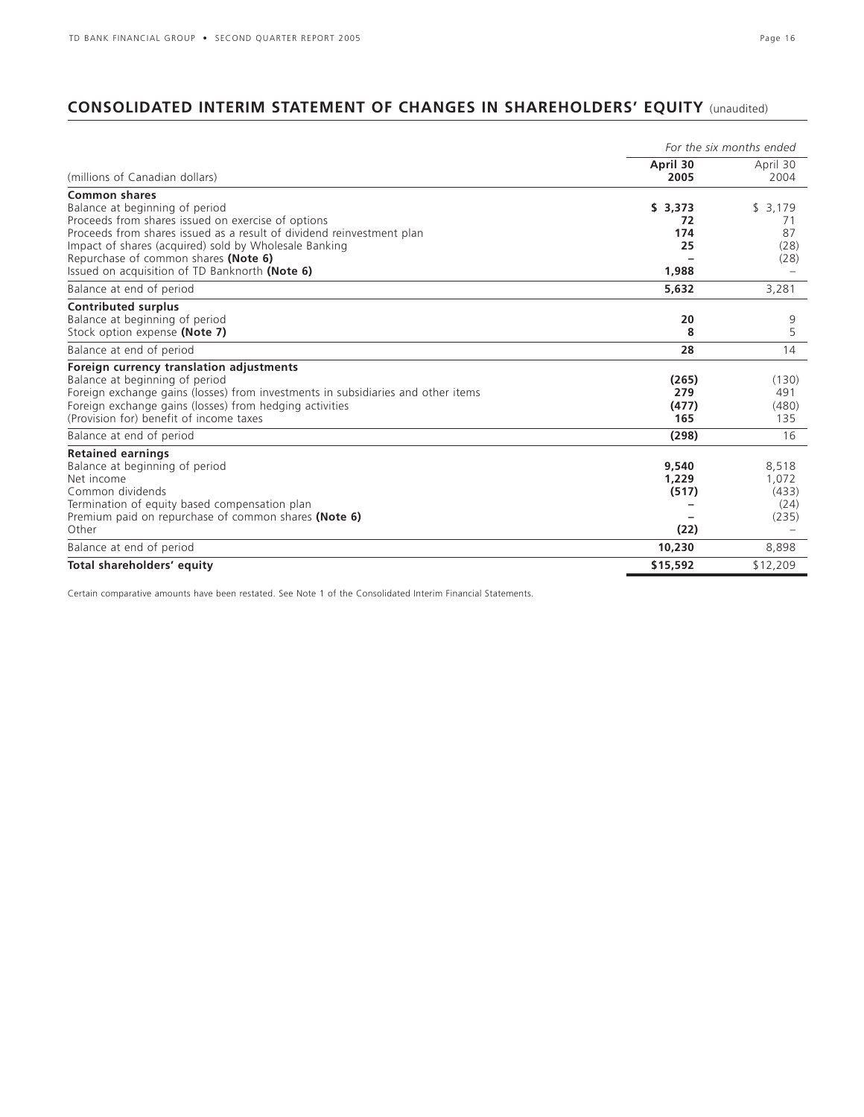# **CONSOLIDATED INTERIM STATEMENT OF CHANGES IN SHAREHOLDERS' EQUITY** (unaudited)

|                                                                                  |                  | For the six months ended |
|----------------------------------------------------------------------------------|------------------|--------------------------|
| (millions of Canadian dollars)                                                   | April 30<br>2005 | April 30<br>2004         |
| <b>Common shares</b><br>Balance at beginning of period                           | \$3,373          | \$3,179                  |
| Proceeds from shares issued on exercise of options                               | 72               | 71                       |
| Proceeds from shares issued as a result of dividend reinvestment plan            | 174              | 87                       |
| Impact of shares (acquired) sold by Wholesale Banking                            | 25               | (28)                     |
| Repurchase of common shares (Note 6)                                             |                  | (28)                     |
| Issued on acquisition of TD Banknorth (Note 6)                                   | 1,988            |                          |
| Balance at end of period                                                         | 5,632            | 3,281                    |
| <b>Contributed surplus</b>                                                       |                  |                          |
| Balance at beginning of period                                                   | 20               | 9                        |
| Stock option expense (Note 7)                                                    | 8                | 5                        |
| Balance at end of period                                                         | 28               | 14                       |
| Foreign currency translation adjustments                                         |                  |                          |
| Balance at beginning of period                                                   | (265)            | (130)                    |
| Foreign exchange gains (losses) from investments in subsidiaries and other items | 279              | 491                      |
| Foreign exchange gains (losses) from hedging activities                          | (477)            | (480)                    |
| (Provision for) benefit of income taxes                                          | 165              | 135                      |
| Balance at end of period                                                         | (298)            | 16                       |
| <b>Retained earnings</b>                                                         |                  |                          |
| Balance at beginning of period                                                   | 9,540            | 8,518                    |
| Net income                                                                       | 1.229            | 1,072                    |
| Common dividends                                                                 | (517)            | (433)                    |
| Termination of equity based compensation plan                                    |                  | (24)                     |
| Premium paid on repurchase of common shares (Note 6)                             |                  | (235)                    |
| Other                                                                            | (22)             |                          |
| Balance at end of period                                                         | 10,230           | 8,898                    |
| Total shareholders' equity                                                       | \$15,592         | \$12,209                 |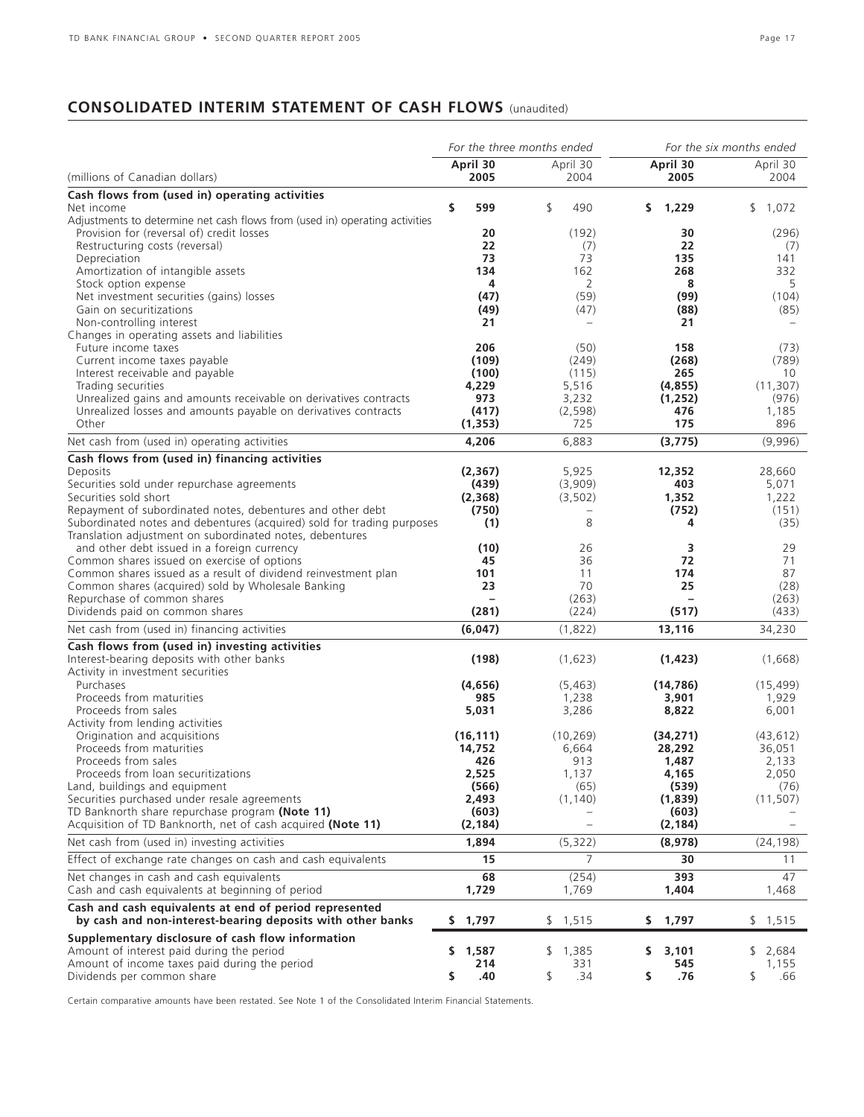# **CONSOLIDATED INTERIM STATEMENT OF CASH FLOWS** (unaudited)

|                                                                                              | For the three months ended |                          |                          | For the six months ended |  |
|----------------------------------------------------------------------------------------------|----------------------------|--------------------------|--------------------------|--------------------------|--|
| (millions of Canadian dollars)                                                               | April 30<br>2005           | April 30<br>2004         | April 30<br>2005         | April 30<br>2004         |  |
|                                                                                              |                            |                          |                          |                          |  |
| Cash flows from (used in) operating activities<br>Net income                                 | \$<br>599                  | \$<br>490                | \$<br>1,229              | \$1,072                  |  |
| Adjustments to determine net cash flows from (used in) operating activities                  |                            |                          |                          |                          |  |
| Provision for (reversal of) credit losses                                                    | 20                         | (192)                    | 30                       | (296)                    |  |
| Restructuring costs (reversal)                                                               | 22                         | (7)                      | 22                       | (7)                      |  |
| Depreciation                                                                                 | 73                         | 73                       | 135                      | 141                      |  |
| Amortization of intangible assets                                                            | 134                        | 162                      | 268                      | 332                      |  |
| Stock option expense<br>Net investment securities (gains) losses                             | 4<br>(47)                  | 2<br>(59)                | 8<br>(99)                | 5<br>(104)               |  |
| Gain on securitizations                                                                      | (49)                       | (47)                     | (88)                     | (85)                     |  |
| Non-controlling interest                                                                     | 21                         |                          | 21                       |                          |  |
| Changes in operating assets and liabilities                                                  |                            |                          |                          |                          |  |
| Future income taxes                                                                          | 206                        | (50)                     | 158                      | (73)                     |  |
| Current income taxes payable                                                                 | (109)                      | (249)                    | (268)                    | (789)                    |  |
| Interest receivable and payable                                                              | (100)                      | (115)                    | 265                      | 10                       |  |
| Trading securities                                                                           | 4,229                      | 5,516                    | (4, 855)                 | (11, 307)                |  |
| Unrealized gains and amounts receivable on derivatives contracts                             | 973                        | 3,232                    | (1, 252)                 | (976)                    |  |
| Unrealized losses and amounts payable on derivatives contracts<br>Other                      | (417)<br>(1, 353)          | (2, 598)<br>725          | 476<br>175               | 1,185<br>896             |  |
|                                                                                              |                            |                          |                          |                          |  |
| Net cash from (used in) operating activities                                                 | 4,206                      | 6,883                    | (3, 775)                 | (9,996)                  |  |
| Cash flows from (used in) financing activities                                               |                            |                          |                          |                          |  |
| Deposits                                                                                     | (2, 367)                   | 5,925                    | 12,352                   | 28,660                   |  |
| Securities sold under repurchase agreements<br>Securities sold short                         | (439)<br>(2,368)           | (3,909)<br>(3, 502)      | 403<br>1,352             | 5,071<br>1,222           |  |
| Repayment of subordinated notes, debentures and other debt                                   | (750)                      | $\overline{\phantom{0}}$ | (752)                    | (151)                    |  |
| Subordinated notes and debentures (acquired) sold for trading purposes                       | (1)                        | 8                        | 4                        | (35)                     |  |
| Translation adjustment on subordinated notes, debentures                                     |                            |                          |                          |                          |  |
| and other debt issued in a foreign currency                                                  | (10)                       | 26                       | 3                        | 29                       |  |
| Common shares issued on exercise of options                                                  | 45                         | 36                       | 72                       | 71                       |  |
| Common shares issued as a result of dividend reinvestment plan                               | 101                        | 11                       | 174                      | 87                       |  |
| Common shares (acquired) sold by Wholesale Banking                                           | 23                         | 70                       | 25                       | (28)                     |  |
| Repurchase of common shares                                                                  | $\overline{\phantom{0}}$   | (263)                    | $\overline{\phantom{a}}$ | (263)                    |  |
| Dividends paid on common shares                                                              | (281)                      | (224)                    | (517)                    | (433)                    |  |
| Net cash from (used in) financing activities                                                 | (6,047)                    | (1,822)                  | 13,116                   | 34,230                   |  |
| Cash flows from (used in) investing activities                                               |                            |                          |                          |                          |  |
| Interest-bearing deposits with other banks                                                   | (198)                      | (1,623)                  | (1, 423)                 | (1,668)                  |  |
| Activity in investment securities                                                            |                            |                          |                          |                          |  |
| Purchases<br>Proceeds from maturities                                                        | (4,656)                    | (5, 463)                 | (14, 786)                | (15, 499)                |  |
| Proceeds from sales                                                                          | 985<br>5,031               | 1,238<br>3,286           | 3,901<br>8,822           | 1,929<br>6,001           |  |
| Activity from lending activities                                                             |                            |                          |                          |                          |  |
| Origination and acquisitions                                                                 | (16, 111)                  | (10, 269)                | (34, 271)                | (43, 612)                |  |
| Proceeds from maturities                                                                     | 14,752                     | 6,664                    | 28,292                   | 36,051                   |  |
| Proceeds from sales                                                                          | 426                        | 913                      | 1,487                    | 2,133                    |  |
| Proceeds from loan securitizations                                                           | 2,525                      | 1,137                    | 4,165                    | 2,050                    |  |
| Land, buildings and equipment                                                                | (566)                      | (65)                     | (539)                    | (76)                     |  |
| Securities purchased under resale agreements                                                 | 2,493                      | (1, 140)                 | (1,839)                  | (11, 507)                |  |
| TD Banknorth share repurchase program (Note 11)                                              | (603)                      |                          | (603)                    |                          |  |
| Acquisition of TD Banknorth, net of cash acquired (Note 11)                                  | (2,184)                    | $\qquad \qquad -$        | (2, 184)                 |                          |  |
| Net cash from (used in) investing activities                                                 | 1,894                      | (5, 322)                 | (8,978)                  | (24, 198)                |  |
| Effect of exchange rate changes on cash and cash equivalents                                 | 15                         | $\overline{7}$           | 30                       | 11                       |  |
| Net changes in cash and cash equivalents<br>Cash and cash equivalents at beginning of period | 68<br>1,729                | (254)<br>1,769           | 393<br>1,404             | 47<br>1,468              |  |
| Cash and cash equivalents at end of period represented                                       |                            |                          |                          |                          |  |
| by cash and non-interest-bearing deposits with other banks                                   | 1,797<br>\$                | \$1,515                  | 1,797<br>\$.             | \$1,515                  |  |
| Supplementary disclosure of cash flow information                                            |                            |                          |                          |                          |  |
| Amount of interest paid during the period                                                    | \$1,587                    | \$1,385                  | 3,101<br>S.              | \$<br>2,684              |  |
| Amount of income taxes paid during the period                                                | 214                        | 331                      | 545                      | 1,155                    |  |
| Dividends per common share                                                                   | .40<br>\$                  | .34<br>\$                | \$<br>.76                | \$<br>.66                |  |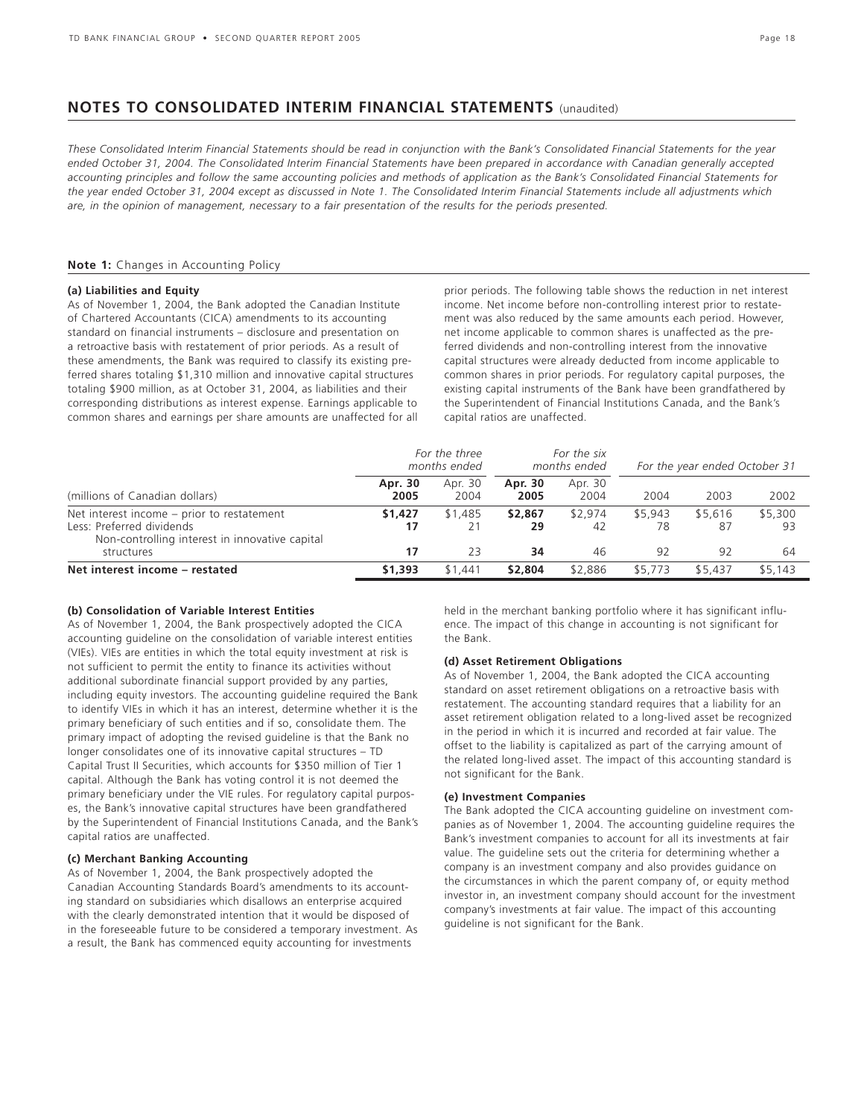### **NOTES TO CONSOLIDATED INTERIM FINANCIAL STATEMENTS** (unaudited)

*These Consolidated Interim Financial Statements should be read in conjunction with the Bank's Consolidated Financial Statements for the year ended October 31, 2004. The Consolidated Interim Financial Statements have been prepared in accordance with Canadian generally accepted accounting principles and follow the same accounting policies and methods of application as the Bank's Consolidated Financial Statements for the year ended October 31, 2004 except as discussed in Note 1. The Consolidated Interim Financial Statements include all adjustments which are, in the opinion of management, necessary to a fair presentation of the results for the periods presented.*

### **Note 1:** Changes in Accounting Policy

### **(a) Liabilities and Equity**

As of November 1, 2004, the Bank adopted the Canadian Institute of Chartered Accountants (CICA) amendments to its accounting standard on financial instruments – disclosure and presentation on a retroactive basis with restatement of prior periods. As a result of these amendments, the Bank was required to classify its existing preferred shares totaling \$1,310 million and innovative capital structures totaling \$900 million, as at October 31, 2004, as liabilities and their corresponding distributions as interest expense. Earnings applicable to common shares and earnings per share amounts are unaffected for all prior periods. The following table shows the reduction in net interest income. Net income before non-controlling interest prior to restatement was also reduced by the same amounts each period. However, net income applicable to common shares is unaffected as the preferred dividends and non-controlling interest from the innovative capital structures were already deducted from income applicable to common shares in prior periods. For regulatory capital purposes, the existing capital instruments of the Bank have been grandfathered by the Superintendent of Financial Institutions Canada, and the Bank's capital ratios are unaffected.

|                                                                                                                                         | For the three<br>months ended |                 | For the six<br>months ended |                     | For the year ended October 31 |                     |                      |
|-----------------------------------------------------------------------------------------------------------------------------------------|-------------------------------|-----------------|-----------------------------|---------------------|-------------------------------|---------------------|----------------------|
| (millions of Canadian dollars)                                                                                                          | Apr. 30<br>2005               | Apr. 30<br>2004 | Apr. 30<br>2005             | Apr. 30<br>2004     | 2004                          | 2003                | 2002                 |
| Net interest income – prior to restatement<br>Less: Preferred dividends<br>Non-controlling interest in innovative capital<br>structures | \$1,427<br>17<br>17           | \$1,485<br>23   | \$2,867<br>29<br>34         | \$2.974<br>42<br>46 | \$5,943<br>78<br>92           | \$5,616<br>87<br>92 | \$5,300<br>-93<br>64 |
| Net interest income - restated                                                                                                          | \$1,393                       | \$1,441         | \$2,804                     | \$2,886             | \$5,773                       | \$5,437             | \$5,143              |

### **(b) Consolidation of Variable Interest Entities**

As of November 1, 2004, the Bank prospectively adopted the CICA accounting guideline on the consolidation of variable interest entities (VIEs). VIEs are entities in which the total equity investment at risk is not sufficient to permit the entity to finance its activities without additional subordinate financial support provided by any parties, including equity investors. The accounting guideline required the Bank to identify VIEs in which it has an interest, determine whether it is the primary beneficiary of such entities and if so, consolidate them. The primary impact of adopting the revised guideline is that the Bank no longer consolidates one of its innovative capital structures – TD Capital Trust II Securities, which accounts for \$350 million of Tier 1 capital. Although the Bank has voting control it is not deemed the primary beneficiary under the VIE rules. For regulatory capital purposes, the Bank's innovative capital structures have been grandfathered by the Superintendent of Financial Institutions Canada, and the Bank's capital ratios are unaffected.

### **(c) Merchant Banking Accounting**

As of November 1, 2004, the Bank prospectively adopted the Canadian Accounting Standards Board's amendments to its accounting standard on subsidiaries which disallows an enterprise acquired with the clearly demonstrated intention that it would be disposed of in the foreseeable future to be considered a temporary investment. As a result, the Bank has commenced equity accounting for investments

held in the merchant banking portfolio where it has significant influence. The impact of this change in accounting is not significant for the Bank.

#### **(d) Asset Retirement Obligations**

As of November 1, 2004, the Bank adopted the CICA accounting standard on asset retirement obligations on a retroactive basis with restatement. The accounting standard requires that a liability for an asset retirement obligation related to a long-lived asset be recognized in the period in which it is incurred and recorded at fair value. The offset to the liability is capitalized as part of the carrying amount of the related long-lived asset. The impact of this accounting standard is not significant for the Bank.

#### **(e) Investment Companies**

The Bank adopted the CICA accounting guideline on investment companies as of November 1, 2004. The accounting guideline requires the Bank's investment companies to account for all its investments at fair value. The guideline sets out the criteria for determining whether a company is an investment company and also provides guidance on the circumstances in which the parent company of, or equity method investor in, an investment company should account for the investment company's investments at fair value. The impact of this accounting guideline is not significant for the Bank.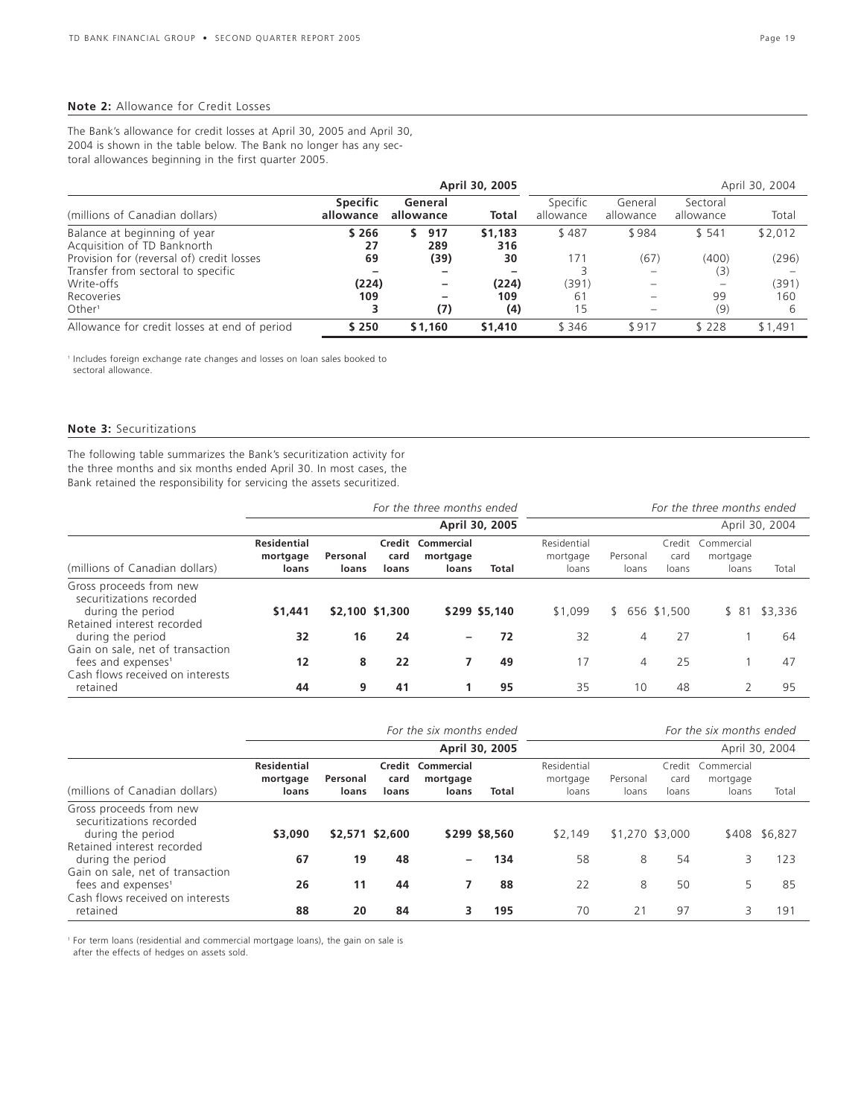### **Note 2:** Allowance for Credit Losses

The Bank's allowance for credit losses at April 30, 2005 and April 30, 2004 is shown in the table below. The Bank no longer has any sectoral allowances beginning in the first quarter 2005.

| April 30, 2005<br>April 30, 2004                            |                              |                          |                |                       |                      |                       |         |
|-------------------------------------------------------------|------------------------------|--------------------------|----------------|-----------------------|----------------------|-----------------------|---------|
| (millions of Canadian dollars)                              | <b>Specific</b><br>allowance | General<br>allowance     | Total          | Specific<br>allowance | General<br>allowance | Sectoral<br>allowance | Total   |
| Balance at beginning of year<br>Acquisition of TD Banknorth | \$266<br>27                  | 917<br>289               | \$1,183<br>316 | \$487                 | \$984                | \$541                 | \$2,012 |
| Provision for (reversal of) credit losses                   | 69                           | (39)                     | 30             | 171                   | (67)                 | (400)                 | (296)   |
| Transfer from sectoral to specific                          |                              | -                        |                |                       |                      | (3)                   |         |
| Write-offs                                                  | (224)                        | $\overline{\phantom{0}}$ | (224)          | (391)                 |                      |                       | (391)   |
| Recoveries                                                  | 109                          | -                        | 109            | 61                    |                      | 99                    | 160     |
| Other <sup>1</sup>                                          |                              | (7)                      | (4)            | 15                    |                      | (9)                   | b       |
| Allowance for credit losses at end of period                | \$250                        | \$1,160                  | \$1,410        | \$346                 | \$917                | \$228                 | \$1,491 |

<sup>1</sup> Includes foreign exchange rate changes and losses on loan sales booked to sectoral allowance.

### **Note 3:** Securitizations

The following table summarizes the Bank's securitization activity for the three months and six months ended April 30. In most cases, the Bank retained the responsibility for servicing the assets securitized.

|                                                                                     | For the three months ended              |                   |                 |                                               |                | For the three months ended       |                   |               |                                        |                |
|-------------------------------------------------------------------------------------|-----------------------------------------|-------------------|-----------------|-----------------------------------------------|----------------|----------------------------------|-------------------|---------------|----------------------------------------|----------------|
|                                                                                     |                                         |                   |                 |                                               | April 30, 2005 |                                  |                   |               |                                        | April 30, 2004 |
| (millions of Canadian dollars)                                                      | <b>Residential</b><br>mortgage<br>loans | Personal<br>loans | card<br>loans   | <b>Credit Commercial</b><br>mortgage<br>loans | Total          | Residential<br>mortgage<br>loans | Personal<br>loans | card<br>loans | Credit Commercial<br>mortgage<br>loans | Total          |
| Gross proceeds from new<br>securitizations recorded<br>during the period            | \$1,441                                 |                   | \$2,100 \$1,300 |                                               | \$299 \$5,140  | \$1,099                          | S.                | 656 \$1,500   | \$ 81                                  | \$3,336        |
| Retained interest recorded<br>during the period<br>Gain on sale, net of transaction | 32                                      | 16                | 24              | $\overline{\phantom{0}}$                      | 72             | 32                               | 4                 | 27            |                                        | 64             |
| fees and expenses <sup>1</sup><br>Cash flows received on interests                  | 12                                      | 8                 | 22              |                                               | 49             | 17                               | 4                 | 25            |                                        | 47             |
| retained                                                                            | 44                                      | 9                 | 41              |                                               | 95             | 35                               | 10                | 48            |                                        | 95             |

|                                                                                                        | For the six months ended<br>For the six months ended |                   |                 |                                        |               |                                  |                   |                         |                                 |               |
|--------------------------------------------------------------------------------------------------------|------------------------------------------------------|-------------------|-----------------|----------------------------------------|---------------|----------------------------------|-------------------|-------------------------|---------------------------------|---------------|
|                                                                                                        |                                                      | April 30, 2005    |                 |                                        |               |                                  | April 30, 2004    |                         |                                 |               |
| (millions of Canadian dollars)                                                                         | <b>Residential</b><br>mortgage<br>loans              | Personal<br>loans | card<br>loans   | Credit Commercial<br>mortgage<br>loans | <b>Total</b>  | Residential<br>mortgage<br>loans | Personal<br>loans | Credit<br>card<br>loans | Commercial<br>mortgage<br>loans | Total         |
| Gross proceeds from new<br>securitizations recorded<br>during the period<br>Retained interest recorded | \$3,090                                              |                   | \$2,571 \$2,600 |                                        | \$299 \$8.560 | \$2.149                          | \$1,270 \$3,000   |                         |                                 | \$408 \$6,827 |
| during the period<br>Gain on sale, net of transaction                                                  | 67                                                   | 19                | 48              | $\qquad \qquad$                        | 134           | 58                               | 8                 | 54                      |                                 | 123           |
| fees and expenses <sup>1</sup><br>Cash flows received on interests                                     | 26                                                   | 11                | 44              | 7                                      | 88            | 22                               | 8                 | 50                      |                                 | 85            |
| retained                                                                                               | 88                                                   | 20                | 84              | з                                      | 195           | 70                               | 21                | 97                      | 3                               | 191           |

<sup>1</sup> For term loans (residential and commercial mortgage loans), the gain on sale is

after the effects of hedges on assets sold.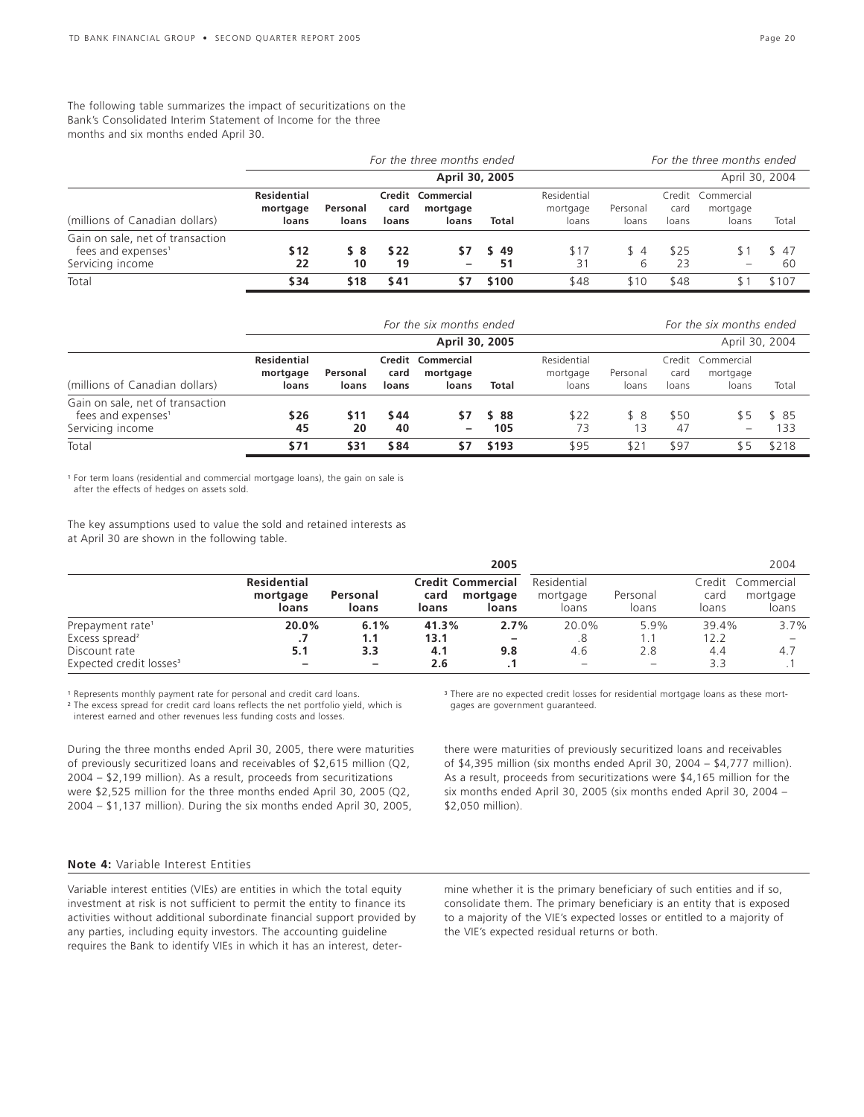### The following table summarizes the impact of securitizations on the Bank's Consolidated Interim Statement of Income for the three months and six months ended April 30.

|                                                                                        |                                  | For the three months ended |               |                                        |           |                                  |                   |                         | For the three months ended      |            |  |  |
|----------------------------------------------------------------------------------------|----------------------------------|----------------------------|---------------|----------------------------------------|-----------|----------------------------------|-------------------|-------------------------|---------------------------------|------------|--|--|
|                                                                                        |                                  |                            |               | April 30, 2005                         |           |                                  |                   |                         | April 30, 2004                  |            |  |  |
| (millions of Canadian dollars)                                                         | Residential<br>mortgage<br>loans | Personal<br>loans          | card<br>loans | Credit Commercial<br>mortgage<br>loans | Total     | Residential<br>mortgage<br>loans | Personal<br>loans | Credit<br>card<br>loans | Commercial<br>mortgage<br>loans | Total      |  |  |
| Gain on sale, net of transaction<br>fees and expenses <sup>1</sup><br>Servicing income | \$12<br>22                       | S 8<br>10                  | \$ 22<br>19   | S7<br>-                                | -49<br>51 | \$17<br>31                       | \$4<br>6          | \$25<br>23              |                                 | \$47<br>60 |  |  |
| Total                                                                                  | \$34                             | \$18                       | \$41          | \$7                                    | \$100     | \$48                             | \$10              | \$48                    |                                 | \$107      |  |  |

|                                                                                        |                                         | For the six months ended |               |                                        |              |                                  |                   |               | For the six months ended               |              |  |  |
|----------------------------------------------------------------------------------------|-----------------------------------------|--------------------------|---------------|----------------------------------------|--------------|----------------------------------|-------------------|---------------|----------------------------------------|--------------|--|--|
|                                                                                        |                                         | April 30, 2005           |               |                                        |              |                                  |                   |               | April 30, 2004                         |              |  |  |
| (millions of Canadian dollars)                                                         | <b>Residential</b><br>mortgage<br>loans | Personal<br>loans        | card<br>loans | Credit Commercial<br>mortgage<br>loans | Total        | Residential<br>mortgage<br>loans | Personal<br>loans | card<br>loans | Credit Commercial<br>mortgage<br>loans | Total        |  |  |
| Gain on sale, net of transaction<br>fees and expenses <sup>1</sup><br>Servicing income | \$26<br>45                              | <b>S11</b><br>20         | \$44<br>40    | S7<br>-                                | \$ 88<br>105 | \$22<br>73                       | \$8<br>13         | \$50<br>-47   | 85                                     | \$ 85<br>133 |  |  |
| Total                                                                                  | \$71                                    | \$31                     | \$84          | \$7                                    | \$193        | \$95                             | $$2^{\cdot}$      | \$97          | \$5                                    | \$218        |  |  |

<sup>1</sup> For term loans (residential and commercial mortgage loans), the gain on sale is after the effects of hedges on assets sold.

The key assumptions used to value the sold and retained interests as at April 30 are shown in the following table.

|                                     |                                         |                   |               | 2005                                          |                                  |                   |               | 2004                                   |
|-------------------------------------|-----------------------------------------|-------------------|---------------|-----------------------------------------------|----------------------------------|-------------------|---------------|----------------------------------------|
|                                     | <b>Residential</b><br>mortgage<br>loans | Personal<br>loans | card<br>loans | <b>Credit Commercial</b><br>mortgage<br>loans | Residential<br>mortgage<br>loans | Personal<br>loans | card<br>loans | Credit Commercial<br>mortgage<br>loans |
| Prepayment rate <sup>1</sup>        | 20.0%                                   | 6.1%              | 41.3%         | 2.7%                                          | 20.0%                            | 5.9%              | 39.4%         | 3.7%                                   |
| Excess spread <sup>2</sup>          |                                         | 1.1               | 13.1          |                                               | .8                               | 1.1               | 12.2          |                                        |
| Discount rate                       | 5.1                                     | 3.3               | 4.1           | 9.8                                           | 4.6                              | 2.8               | 4.4           | 4.7                                    |
| Expected credit losses <sup>3</sup> | -                                       | -                 | 2.6           |                                               |                                  |                   | 3.3           |                                        |

<sup>1</sup> Represents monthly payment rate for personal and credit card loans.

<sup>2</sup> The excess spread for credit card loans reflects the net portfolio yield, which is interest earned and other revenues less funding costs and losses.

During the three months ended April 30, 2005, there were maturities of previously securitized loans and receivables of \$2,615 million (Q2, 2004 – \$2,199 million). As a result, proceeds from securitizations were \$2,525 million for the three months ended April 30, 2005 (Q2, 2004 – \$1,137 million). During the six months ended April 30, 2005,

<sup>3</sup> There are no expected credit losses for residential mortgage loans as these mortgages are government guaranteed.

there were maturities of previously securitized loans and receivables of \$4,395 million (six months ended April 30, 2004 – \$4,777 million). As a result, proceeds from securitizations were \$4,165 million for the six months ended April 30, 2005 (six months ended April 30, 2004 – \$2,050 million).

### **Note 4:** Variable Interest Entities

Variable interest entities (VIEs) are entities in which the total equity investment at risk is not sufficient to permit the entity to finance its activities without additional subordinate financial support provided by any parties, including equity investors. The accounting guideline requires the Bank to identify VIEs in which it has an interest, determine whether it is the primary beneficiary of such entities and if so, consolidate them. The primary beneficiary is an entity that is exposed to a majority of the VIE's expected losses or entitled to a majority of the VIE's expected residual returns or both.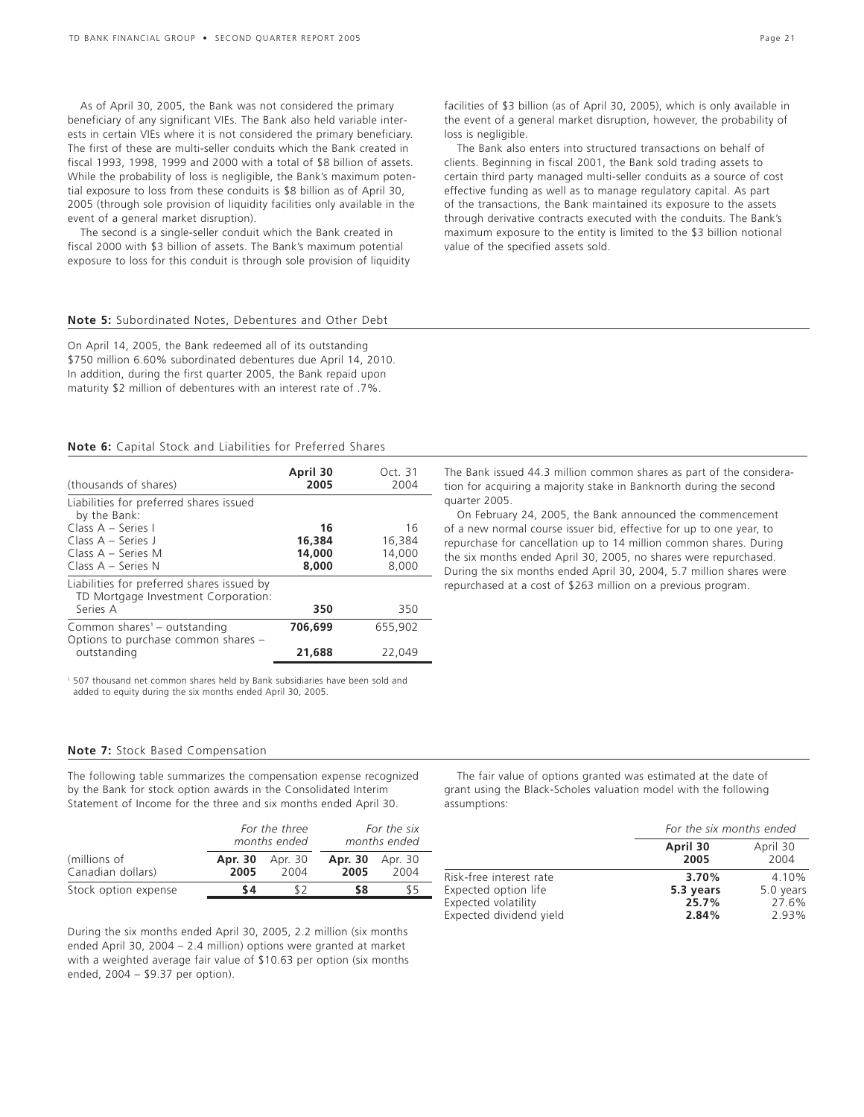As of April 30, 2005, the Bank was not considered the primary beneficiary of any significant VIEs. The Bank also held variable interests in certain VIEs where it is not considered the primary beneficiary. The first of these are multi-seller conduits which the Bank created in fiscal 1993, 1998, 1999 and 2000 with a total of \$8 billion of assets. While the probability of loss is negligible, the Bank's maximum potential exposure to loss from these conduits is \$8 billion as of April 30, 2005 (through sole provision of liquidity facilities only available in the event of a general market disruption).

The second is a single-seller conduit which the Bank created in fiscal 2000 with \$3 billion of assets. The Bank's maximum potential exposure to loss for this conduit is through sole provision of liquidity

**Note 5:** Subordinated Notes, Debentures and Other Debt

On April 14, 2005, the Bank redeemed all of its outstanding \$750 million 6.60% subordinated debentures due April 14, 2010. In addition, during the first quarter 2005, the Bank repaid upon maturity \$2 million of debentures with an interest rate of .7%.

### **Note 6:** Capital Stock and Liabilities for Preferred Shares

| (thousands of shares)                                                             | April 30<br>2005 | Oct. 31<br>2004 |
|-----------------------------------------------------------------------------------|------------------|-----------------|
| Liabilities for preferred shares issued<br>by the Bank:                           |                  |                 |
| Class A - Series I                                                                | 16               | 16              |
| Class $A - Series$ J                                                              | 16,384           | 16,384          |
| Class $A - Series M$                                                              | 14,000           | 14,000          |
| Class $A -$ Series N                                                              | 8,000            | 8,000           |
| Liabilities for preferred shares issued by<br>TD Mortgage Investment Corporation: |                  |                 |
| Series A                                                                          | 350              | 350             |
| Common shares <sup>1</sup> - outstanding<br>Options to purchase common shares -   | 706.699          | 655,902         |
| outstanding                                                                       | 21,688           | 22,049          |

<sup>1</sup> 507 thousand net common shares held by Bank subsidiaries have been sold and added to equity during the six months ended April 30, 2005.

### **Note 7:** Stock Based Compensation

The following table summarizes the compensation expense recognized by the Bank for stock option awards in the Consolidated Interim Statement of Income for the three and six months ended April 30.

|                                   |                 | For the three<br>months ended |                 | For the six<br>months ended |
|-----------------------------------|-----------------|-------------------------------|-----------------|-----------------------------|
| (millions of<br>Canadian dollars) | Apr. 30<br>2005 | Apr. 30<br>2004               | Apr. 30<br>2005 | Apr. 30<br>2004             |
| Stock option expense              | S 4             |                               | S8              | 85                          |

During the six months ended April 30, 2005, 2.2 million (six months ended April 30, 2004 – 2.4 million) options were granted at market with a weighted average fair value of \$10.63 per option (six months ended, 2004 – \$9.37 per option).

facilities of \$3 billion (as of April 30, 2005), which is only available in the event of a general market disruption, however, the probability of loss is negligible.

The Bank also enters into structured transactions on behalf of clients. Beginning in fiscal 2001, the Bank sold trading assets to certain third party managed multi-seller conduits as a source of cost effective funding as well as to manage regulatory capital. As part of the transactions, the Bank maintained its exposure to the assets through derivative contracts executed with the conduits. The Bank's maximum exposure to the entity is limited to the \$3 billion notional value of the specified assets sold.

The Bank issued 44.3 million common shares as part of the consideration for acquiring a majority stake in Banknorth during the second quarter 2005.

On February 24, 2005, the Bank announced the commencement of a new normal course issuer bid, effective for up to one year, to repurchase for cancellation up to 14 million common shares. During the six months ended April 30, 2005, no shares were repurchased. During the six months ended April 30, 2004, 5.7 million shares were repurchased at a cost of \$263 million on a previous program.

The fair value of options granted was estimated at the date of grant using the Black-Scholes valuation model with the following assumptions:

|                         | For the six months ended |                  |
|-------------------------|--------------------------|------------------|
|                         | April 30<br>2005         | April 30<br>2004 |
| Risk-free interest rate | 3.70%                    | 4.10%            |
| Expected option life    | 5.3 years                | 5.0 years        |
| Expected volatility     | 25.7%                    | 27.6%            |
| Expected dividend yield | 2.84%                    | 2.93%            |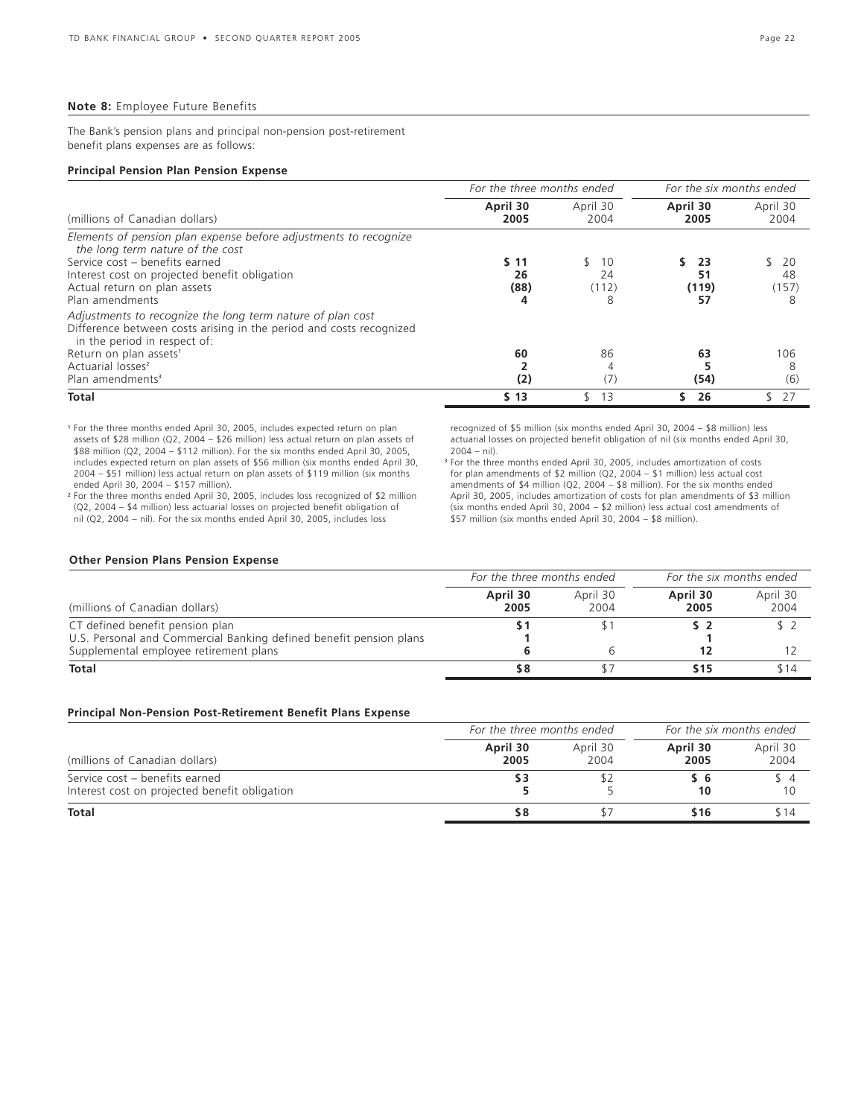#### **Note 8:** Employee Future Benefits

The Bank's pension plans and principal non-pension post-retirement benefit plans expenses are as follows:

#### **Principal Pension Plan Pension Expense**

|                                                                                                                                                                                                                                            | For the three months ended |                        | For the six months ended |                        |  |
|--------------------------------------------------------------------------------------------------------------------------------------------------------------------------------------------------------------------------------------------|----------------------------|------------------------|--------------------------|------------------------|--|
| (millions of Canadian dollars)                                                                                                                                                                                                             | April 30<br>2005           | April 30<br>2004       | April 30<br>2005         | April 30<br>2004       |  |
| Elements of pension plan expense before adjustments to recognize<br>the long term nature of the cost<br>Service cost - benefits earned<br>Interest cost on projected benefit obligation<br>Actual return on plan assets<br>Plan amendments | S 11<br>26<br>(88)<br>4    | 10<br>24<br>(112)<br>8 | 23<br>51<br>(119)<br>57  | 20<br>48<br>(157)<br>8 |  |
| Adjustments to recognize the long term nature of plan cost<br>Difference between costs arising in the period and costs recognized<br>in the period in respect of:<br>Return on plan assets <sup>1</sup><br>Actuarial losses <sup>2</sup>   | 60                         | 86                     | 63                       | 106                    |  |
| Plan amendments <sup>3</sup>                                                                                                                                                                                                               | (2)                        | $\left($ /             | (54)                     | (6)                    |  |
| <b>Total</b>                                                                                                                                                                                                                               | \$13                       | 13                     | 26                       | 27                     |  |

<sup>1</sup> For the three months ended April 30, 2005, includes expected return on plan assets of \$28 million (Q2, 2004 – \$26 million) less actual return on plan assets of \$88 million (Q2, 2004 – \$112 million). For the six months ended April 30, 2005, includes expected return on plan assets of \$56 million (six months ended April 30, 2004 – \$51 million) less actual return on plan assets of \$119 million (six months ended April 30, 2004 – \$157 million). <sup>2</sup> For the three months ended April 30, 2005, includes loss recognized of \$2 million

(Q2, 2004 – \$4 million) less actuarial losses on projected benefit obligation of nil (Q2, 2004 – nil). For the six months ended April 30, 2005, includes loss

recognized of \$5 million (six months ended April 30, 2004 – \$8 million) less actuarial losses on projected benefit obligation of nil (six months ended April 30, 2004 – nil).

<sup>3</sup> For the three months ended April 30, 2005, includes amortization of costs for plan amendments of \$2 million (Q2, 2004 – \$1 million) less actual cost amendments of \$4 million (Q2, 2004 – \$8 million). For the six months ended April 30, 2005, includes amortization of costs for plan amendments of \$3 million (six months ended April 30, 2004 – \$2 million) less actual cost amendments of \$57 million (six months ended April 30, 2004 – \$8 million).

### **Other Pension Plans Pension Expense**

|                                                                                                       | For the three months ended |                  | For the six months ended |                  |  |
|-------------------------------------------------------------------------------------------------------|----------------------------|------------------|--------------------------|------------------|--|
| (millions of Canadian dollars)                                                                        | April 30<br>2005           | April 30<br>2004 | April 30<br>2005         | April 30<br>2004 |  |
| CT defined benefit pension plan<br>U.S. Personal and Commercial Banking defined benefit pension plans |                            |                  |                          |                  |  |
| Supplemental employee retirement plans                                                                |                            |                  |                          |                  |  |
| <b>Total</b>                                                                                          | 58                         |                  | \$15                     | \$14             |  |

### **Principal Non-Pension Post-Retirement Benefit Plans Expense**

|                                                                                 | For the three months ended | For the six months ended |                  |                  |
|---------------------------------------------------------------------------------|----------------------------|--------------------------|------------------|------------------|
| (millions of Canadian dollars)                                                  | April 30<br>2005           | April 30<br>2004         | April 30<br>2005 | April 30<br>2004 |
| Service cost - benefits earned<br>Interest cost on projected benefit obligation |                            |                          | 10               |                  |
| <b>Total</b>                                                                    | 58                         |                          | \$16             | ና 14             |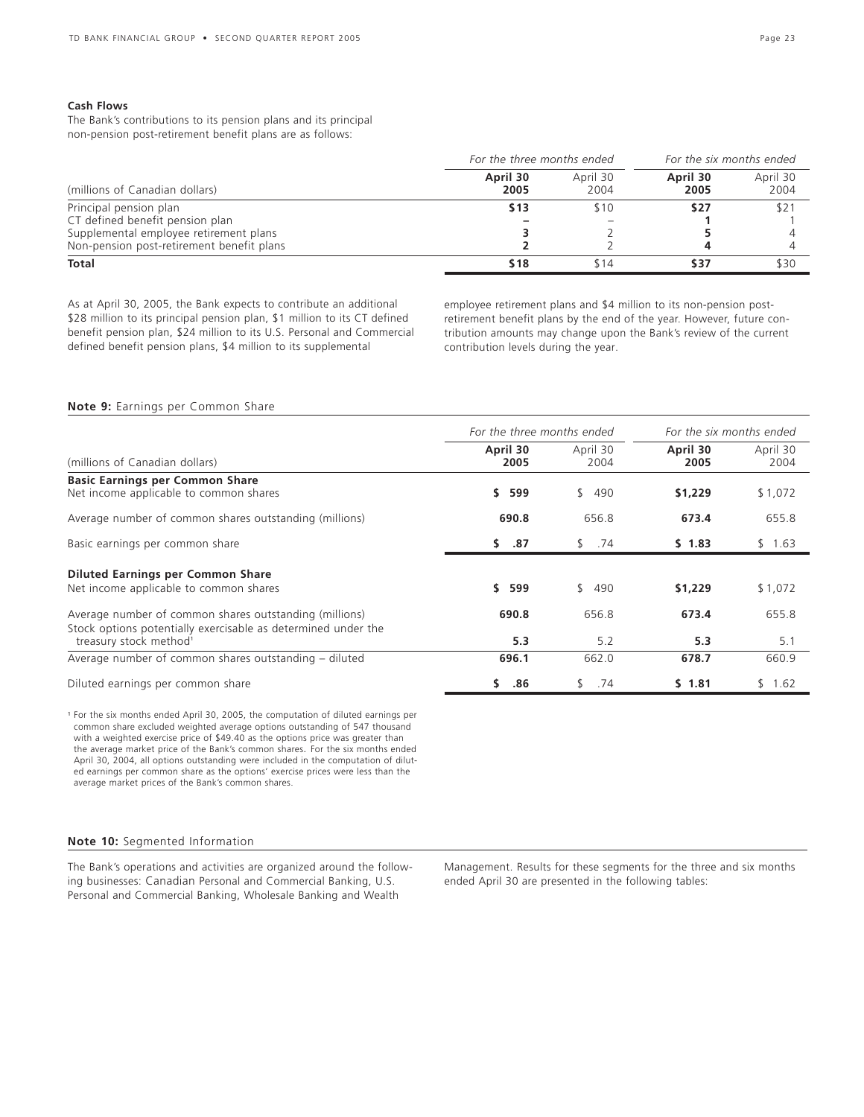### **Cash Flows**

The Bank's contributions to its pension plans and its principal non-pension post-retirement benefit plans are as follows:

|                                           | For the three months ended | For the six months ended |                  |                  |
|-------------------------------------------|----------------------------|--------------------------|------------------|------------------|
| (millions of Canadian dollars)            | April 30<br>2005           | April 30<br>2004         | April 30<br>2005 | April 30<br>2004 |
| Principal pension plan                    | \$13                       | \$10                     | \$27             | \$2              |
| CT defined benefit pension plan           |                            |                          |                  |                  |
| Supplemental employee retirement plans    |                            |                          |                  |                  |
| Non-pension post-retirement benefit plans |                            |                          |                  |                  |
| Total                                     | \$18                       | \$14                     | \$37             | \$30             |

As at April 30, 2005, the Bank expects to contribute an additional \$28 million to its principal pension plan, \$1 million to its CT defined benefit pension plan, \$24 million to its U.S. Personal and Commercial defined benefit pension plans, \$4 million to its supplemental

employee retirement plans and \$4 million to its non-pension postretirement benefit plans by the end of the year. However, future contribution amounts may change upon the Bank's review of the current contribution levels during the year.

### **Note 9:** Earnings per Common Share

|                                                                                                                         | For the three months ended |                     | For the six months ended |                  |  |
|-------------------------------------------------------------------------------------------------------------------------|----------------------------|---------------------|--------------------------|------------------|--|
| (millions of Canadian dollars)                                                                                          | April 30<br>2005           | April 30<br>2004    | April 30<br>2005         | April 30<br>2004 |  |
| <b>Basic Earnings per Common Share</b><br>Net income applicable to common shares                                        | \$.<br>599                 | \$490               | \$1,229                  | \$1,072          |  |
| Average number of common shares outstanding (millions)                                                                  | 690.8                      | 656.8               | 673.4                    | 655.8            |  |
| Basic earnings per common share                                                                                         | \$37                       | \$74                | $5 \t1.83$               | \$1.63           |  |
| <b>Diluted Earnings per Common Share</b>                                                                                |                            |                     |                          |                  |  |
| Net income applicable to common shares                                                                                  | \$.<br>599                 | $\mathbb{S}$<br>490 | \$1,229                  | \$1,072          |  |
| Average number of common shares outstanding (millions)<br>Stock options potentially exercisable as determined under the | 690.8                      | 656.8               | 673.4                    | 655.8            |  |
| treasury stock method <sup>1</sup>                                                                                      | 5.3                        | 5.2                 | 5.3                      | 5.1              |  |
| Average number of common shares outstanding - diluted                                                                   | 696.1                      | 662.0               | 678.7                    | 660.9            |  |
| Diluted earnings per common share                                                                                       | .86<br>S.                  | .74<br>\$           | \$1.81                   | 1.62<br>\$.      |  |

<sup>1</sup> For the six months ended April 30, 2005, the computation of diluted earnings per common share excluded weighted average options outstanding of 547 thousand with a weighted exercise price of \$49.40 as the options price was greater than the average market price of the Bank's common shares. For the six months ended April 30, 2004, all options outstanding were included in the computation of diluted earnings per common share as the options' exercise prices were less than the average market prices of the Bank's common shares.

### **Note 10:** Segmented Information

The Bank's operations and activities are organized around the following businesses: Canadian Personal and Commercial Banking, U.S. Personal and Commercial Banking, Wholesale Banking and Wealth

Management. Results for these segments for the three and six months ended April 30 are presented in the following tables: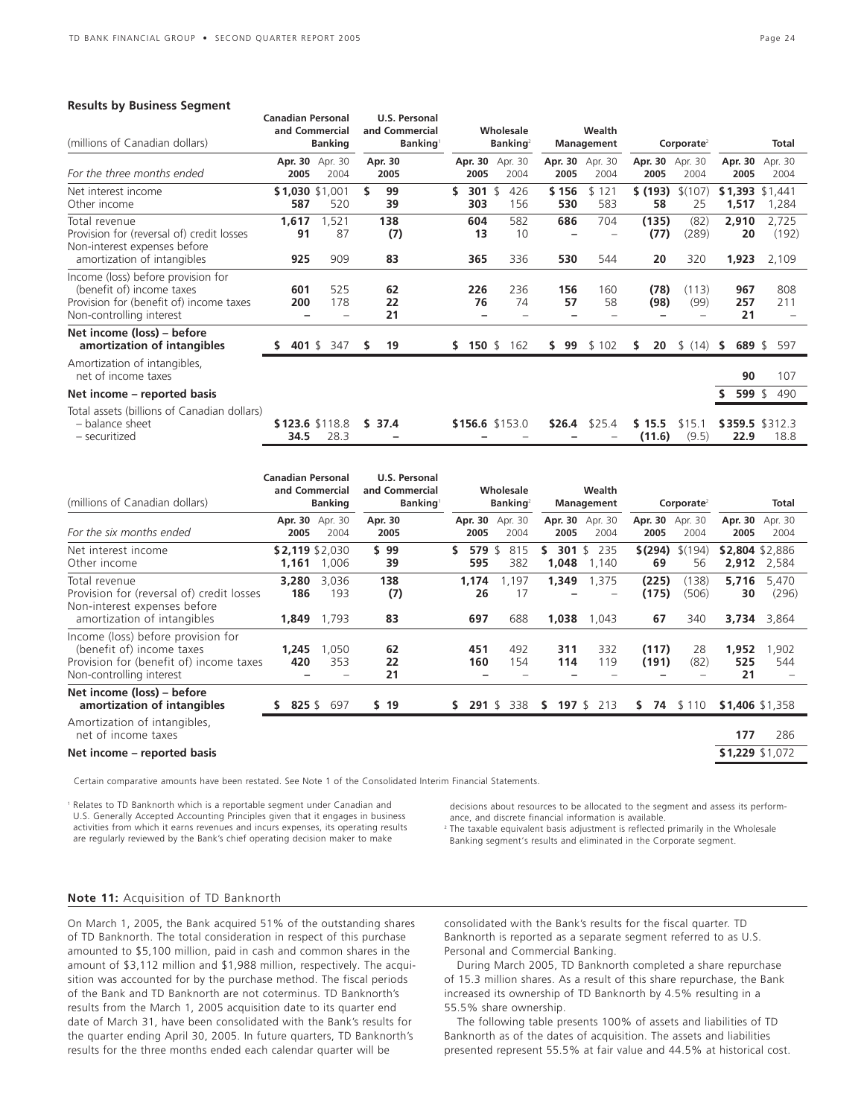#### **Results by Business Segment**

| (millions of Canadian dollars)                                                                                                         | <b>Canadian Personal</b><br>and Commercial<br><b>Banking</b> |                         | <b>U.S. Personal</b><br>and Commercial<br><b>Banking</b> |                  | Wholesale<br><b>Banking</b> <sup>2</sup> |     | Wealth<br><b>Management</b> |                 | Corporate <sup>2</sup> |                     |                      | Total                |                         |
|----------------------------------------------------------------------------------------------------------------------------------------|--------------------------------------------------------------|-------------------------|----------------------------------------------------------|------------------|------------------------------------------|-----|-----------------------------|-----------------|------------------------|---------------------|----------------------|----------------------|-------------------------|
| For the three months ended                                                                                                             | 2005                                                         | Apr. 30 Apr. 30<br>2004 |                                                          | Apr. 30<br>2005  | Apr. 30<br>2005                          |     | Apr. 30<br>2004             | Apr. 30<br>2005 | Apr. 30<br>2004        | Apr. 30<br>2005     | Apr. 30<br>2004      | Apr. 30<br>2005      | Apr. 30<br>2004         |
| Net interest income<br>Other income                                                                                                    | 587                                                          | \$1,030 \$1,001<br>520  | \$                                                       | 99<br>39         | \$<br>301<br>303                         | -\$ | 426<br>156                  | \$156<br>530    | \$121<br>583           | \$(193)<br>58       | \$(107)<br>25        | \$1,393<br>1,517     | \$1.441<br>1,284        |
| Total revenue<br>Provision for (reversal of) credit losses<br>Non-interest expenses before<br>amortization of intangibles              | 1,617<br>91<br>925                                           | 1,521<br>87<br>909      |                                                          | 138<br>(7)<br>83 | 604<br>13<br>365                         |     | 582<br>10<br>336            | 686<br>530      | 704<br>544             | (135)<br>(77)<br>20 | (82)<br>(289)<br>320 | 2,910<br>20<br>1,923 | 2,725<br>(192)<br>2,109 |
| Income (loss) before provision for<br>(benefit of) income taxes<br>Provision for (benefit of) income taxes<br>Non-controlling interest | 601<br>200                                                   | 525<br>178              |                                                          | 62<br>22<br>21   | 226<br>76                                |     | 236<br>74                   | 156<br>57       | 160<br>58              | (78)<br>(98)        | (113)<br>(99)        | 967<br>257<br>21     | 808<br>211              |
| Net income (loss) – before<br>amortization of intangibles                                                                              | s                                                            | 401 \$ 347              | s                                                        | 19               | 150 $$$<br>S.                            |     | 162                         | 99<br>S.        | \$102                  | 20<br>s             | \$(14)               | 689 \$<br>s          | 597                     |
| Amortization of intangibles,<br>net of income taxes                                                                                    |                                                              |                         |                                                          |                  |                                          |     |                             |                 |                        |                     |                      | 90                   | 107                     |
| Net income – reported basis                                                                                                            |                                                              |                         |                                                          |                  |                                          |     |                             |                 |                        |                     |                      | 599 $$$              | 490                     |
| Total assets (billions of Canadian dollars)<br>- balance sheet<br>- securitized                                                        | 34.5                                                         | \$123.6 \$118.8<br>28.3 |                                                          | \$37.4           | \$156.6 \$153.0                          |     |                             | \$26.4          | \$25.4                 | \$15.5<br>(11.6)    | \$15.1<br>(9.5)      | 22.9                 | \$359.5 \$312.3<br>18.8 |

| (millions of Canadian dollars)                                                                                                         | <b>Canadian Personal</b><br>and Commercial<br><b>Banking</b> |                          | U.S. Personal<br>and Commercial<br><b>Banking</b> | Wholesale<br><b>Banking</b> <sup>2</sup> |                    | Wealth<br>Management |                    | Corporate <sup>2</sup> |                       |                          | Total                   |
|----------------------------------------------------------------------------------------------------------------------------------------|--------------------------------------------------------------|--------------------------|---------------------------------------------------|------------------------------------------|--------------------|----------------------|--------------------|------------------------|-----------------------|--------------------------|-------------------------|
| For the six months ended                                                                                                               | 2005                                                         | Apr. 30 Apr. 30<br>2004  | Apr. 30<br>2005                                   | Apr. 30<br>2005                          | Apr. 30<br>2004    | Apr. 30<br>2005      | Apr. 30<br>2004    | Apr. 30<br>2005        | Apr. 30<br>2004       | Apr. 30<br>2005          | Apr. 30<br>2004         |
| Net interest income<br>Other income                                                                                                    | 1,161                                                        | \$2,119 \$2,030<br>1,006 | \$99<br>39                                        | \$<br>579 $$$<br>595                     | 815<br>382         | 301<br>s<br>1,048    | \$<br>235<br>1,140 | \$(294)<br>69          | \$(194)<br>56         | \$2,804 \$2,886<br>2,912 | 2,584                   |
| Total revenue<br>Provision for (reversal of) credit losses<br>Non-interest expenses before<br>amortization of intangibles              | 3,280<br>186<br>1,849                                        | 3,036<br>193<br>1,793    | 138<br>(7)<br>83                                  | 1,174<br>26<br>697                       | 1,197<br>17<br>688 | 1,349<br>1,038       | 1,375<br>1,043     | (225)<br>(175)<br>67   | (138)<br>(506)<br>340 | 5,716<br>30<br>3,734     | 5,470<br>(296)<br>3,864 |
| Income (loss) before provision for<br>(benefit of) income taxes<br>Provision for (benefit of) income taxes<br>Non-controlling interest | 1,245<br>420                                                 | 1,050<br>353             | 62<br>22<br>21                                    | 451<br>160                               | 492<br>154         | 311<br>114           | 332<br>119         | (117)<br>(191)         | 28<br>(82)            | 1,952<br>525<br>21       | .902<br>544             |
| Net income (loss) – before<br>amortization of intangibles                                                                              |                                                              | 825 \$ 697               | \$19                                              | $291 \;$ \$<br>S.                        | 338                | s.                   | <b>197</b> \$ 213  | S.                     | 74 \$110              | \$1,406 \$1,358          |                         |
| Amortization of intangibles,<br>net of income taxes                                                                                    |                                                              |                          |                                                   |                                          |                    |                      |                    |                        |                       | 177                      | 286                     |
| Net income – reported basis                                                                                                            |                                                              |                          |                                                   |                                          |                    |                      |                    |                        |                       | \$1,229 \$1,072          |                         |

Certain comparative amounts have been restated. See Note 1 of the Consolidated Interim Financial Statements.

<sup>1</sup> Relates to TD Banknorth which is a reportable segment under Canadian and U.S. Generally Accepted Accounting Principles given that it engages in business activities from which it earns revenues and incurs expenses, its operating results are regularly reviewed by the Bank's chief operating decision maker to make

decisions about resources to be allocated to the segment and assess its performance, and discrete financial information is available.

<sup>2</sup> The taxable equivalent basis adjustment is reflected primarily in the Wholesale Banking segment's results and eliminated in the Corporate segment.

### **Note 11:** Acquisition of TD Banknorth

On March 1, 2005, the Bank acquired 51% of the outstanding shares of TD Banknorth. The total consideration in respect of this purchase amounted to \$5,100 million, paid in cash and common shares in the amount of \$3,112 million and \$1,988 million, respectively. The acquisition was accounted for by the purchase method. The fiscal periods of the Bank and TD Banknorth are not coterminus. TD Banknorth's results from the March 1, 2005 acquisition date to its quarter end date of March 31, have been consolidated with the Bank's results for the quarter ending April 30, 2005. In future quarters, TD Banknorth's results for the three months ended each calendar quarter will be

consolidated with the Bank's results for the fiscal quarter. TD Banknorth is reported as a separate segment referred to as U.S. Personal and Commercial Banking.

During March 2005, TD Banknorth completed a share repurchase of 15.3 million shares. As a result of this share repurchase, the Bank increased its ownership of TD Banknorth by 4.5% resulting in a 55.5% share ownership.

The following table presents 100% of assets and liabilities of TD Banknorth as of the dates of acquisition. The assets and liabilities presented represent 55.5% at fair value and 44.5% at historical cost.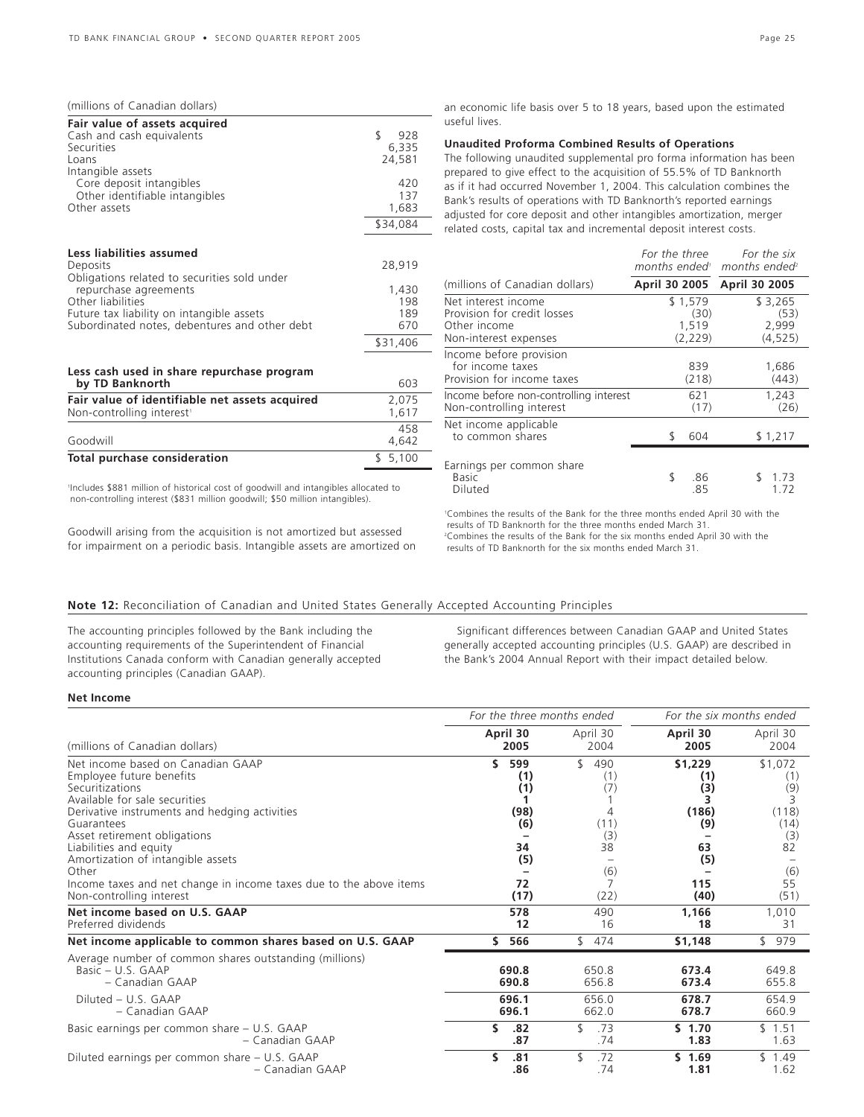#### (millions of Canadian dollars)

| Fair value of assets acquired<br>Cash and cash equivalents<br>Securities<br>Loans                                                        | \$<br>928<br>6,335<br>24,581 |
|------------------------------------------------------------------------------------------------------------------------------------------|------------------------------|
| Intangible assets<br>Core deposit intangibles<br>Other identifiable intangibles<br>Other assets                                          | 420<br>137<br>1,683          |
|                                                                                                                                          | \$34,084                     |
| Less liabilities assumed<br>Deposits<br>Obligations related to securities sold under                                                     | 28,919                       |
| repurchase agreements<br>Other liabilities<br>Future tax liability on intangible assets<br>Subordinated notes, debentures and other debt | 1,430<br>198<br>189<br>670   |
|                                                                                                                                          | \$31,406                     |

#### **Less cash used in share repurchase program by TD Banknorth** 603

| Fair value of identifiable net assets acquired<br>Non-controlling interest <sup>1</sup> | 2.075<br>1.617 |
|-----------------------------------------------------------------------------------------|----------------|
| Goodwill                                                                                | 458<br>4.642   |
| Total purchase consideration                                                            | \$5.100        |

1 Includes \$881 million of historical cost of goodwill and intangibles allocated to non-controlling interest (\$831 million goodwill; \$50 million intangibles).

Goodwill arising from the acquisition is not amortized but assessed for impairment on a periodic basis. Intangible assets are amortized on

an economic life basis over 5 to 18 years, based upon the estimated useful lives.

### **Unaudited Proforma Combined Results of Operations**

The following unaudited supplemental pro forma information has been prepared to give effect to the acquisition of 55.5% of TD Banknorth as if it had occurred November 1, 2004. This calculation combines the Bank's results of operations with TD Banknorth's reported earnings adjusted for core deposit and other intangibles amortization, merger related costs, capital tax and incremental deposit interest costs.

|                                                                                             | For the three                        | For the six<br>months ended <sup>1</sup> months ended <sup>2</sup> |
|---------------------------------------------------------------------------------------------|--------------------------------------|--------------------------------------------------------------------|
| (millions of Canadian dollars)                                                              | April 30 2005                        | April 30 2005                                                      |
| Net interest income<br>Provision for credit losses<br>Other income<br>Non-interest expenses | \$1,579<br>(30)<br>1,519<br>(2, 229) | \$3,265<br>(53)<br>2,999<br>(4, 525)                               |
| Income before provision<br>for income taxes<br>Provision for income taxes                   | 839<br>(218)                         | 1,686<br>(443)                                                     |
| Income before non-controlling interest<br>Non-controlling interest                          | 621<br>(17)                          | 1,243<br>(26)                                                      |
| Net income applicable<br>to common shares                                                   | 604                                  | \$1,217                                                            |
| Earnings per common share<br>Basic<br>Diluted                                               | \$<br>.86<br>.85                     | 1.73<br>1.72                                                       |

1 Combines the results of the Bank for the three months ended April 30 with the results of TD Banknorth for the three months ended March 31. 2 Combines the results of the Bank for the six months ended April 30 with the results of TD Banknorth for the six months ended March 31.

### **Note 12:** Reconciliation of Canadian and United States Generally Accepted Accounting Principles

The accounting principles followed by the Bank including the accounting requirements of the Superintendent of Financial Institutions Canada conform with Canadian generally accepted accounting principles (Canadian GAAP).

Significant differences between Canadian GAAP and United States generally accepted accounting principles (U.S. GAAP) are described in the Bank's 2004 Annual Report with their impact detailed below.

### **Net Income**

|                                                                                                                                                                                                                                                                                                                                                                | For the three months ended                                |                                                          | For the six months ended                                  |                                                                       |  |
|----------------------------------------------------------------------------------------------------------------------------------------------------------------------------------------------------------------------------------------------------------------------------------------------------------------------------------------------------------------|-----------------------------------------------------------|----------------------------------------------------------|-----------------------------------------------------------|-----------------------------------------------------------------------|--|
| (millions of Canadian dollars)                                                                                                                                                                                                                                                                                                                                 | April 30<br>2005                                          | April 30<br>2004                                         | April 30<br>2005                                          | April 30<br>2004                                                      |  |
| Net income based on Canadian GAAP<br>Employee future benefits<br>Securitizations<br>Available for sale securities<br>Derivative instruments and hedging activities<br>Guarantees<br>Asset retirement obligations<br>Liabilities and equity<br>Amortization of intangible assets<br>Other<br>Income taxes and net change in income taxes due to the above items | \$<br>599<br>(1)<br>(1)<br>(98)<br>(6)<br>34<br>(5)<br>72 | \$<br>490<br>(1)<br>(7)<br>4<br>(11)<br>(3)<br>38<br>(6) | \$1,229<br>(1)<br>(3)<br>(186)<br>(9)<br>63<br>(5)<br>115 | \$1,072<br>(1)<br>(9)<br>3<br>(118)<br>(14)<br>(3)<br>82<br>(6)<br>55 |  |
| Non-controlling interest                                                                                                                                                                                                                                                                                                                                       | (17)                                                      | (22)                                                     | (40)                                                      | (51)                                                                  |  |
| Net income based on U.S. GAAP<br>Preferred dividends                                                                                                                                                                                                                                                                                                           | 578<br>12                                                 | 490<br>16                                                | 1,166<br>18                                               | 1,010<br>31                                                           |  |
| Net income applicable to common shares based on U.S. GAAP                                                                                                                                                                                                                                                                                                      | 566<br>S.                                                 | \$474                                                    | \$1,148                                                   | \$979                                                                 |  |
| Average number of common shares outstanding (millions)<br>Basic $- U.S. GAAP$<br>- Canadian GAAP<br>Diluted - U.S. GAAP<br>- Canadian GAAP                                                                                                                                                                                                                     | 690.8<br>690.8<br>696.1<br>696.1                          | 650.8<br>656.8<br>656.0<br>662.0                         | 673.4<br>673.4<br>678.7<br>678.7                          | 649.8<br>655.8<br>654.9<br>660.9                                      |  |
| Basic earnings per common share - U.S. GAAP<br>– Canadian GAAP                                                                                                                                                                                                                                                                                                 | \$<br>.82<br>.87                                          | .73<br>.74                                               | \$1.70<br>1.83                                            | \$1.51<br>1.63                                                        |  |
| Diluted earnings per common share - U.S. GAAP<br>– Canadian GAAP                                                                                                                                                                                                                                                                                               | \$<br>.81<br>.86                                          | .72<br>.74                                               | \$1.69<br>1.81                                            | \$1.49<br>1.62                                                        |  |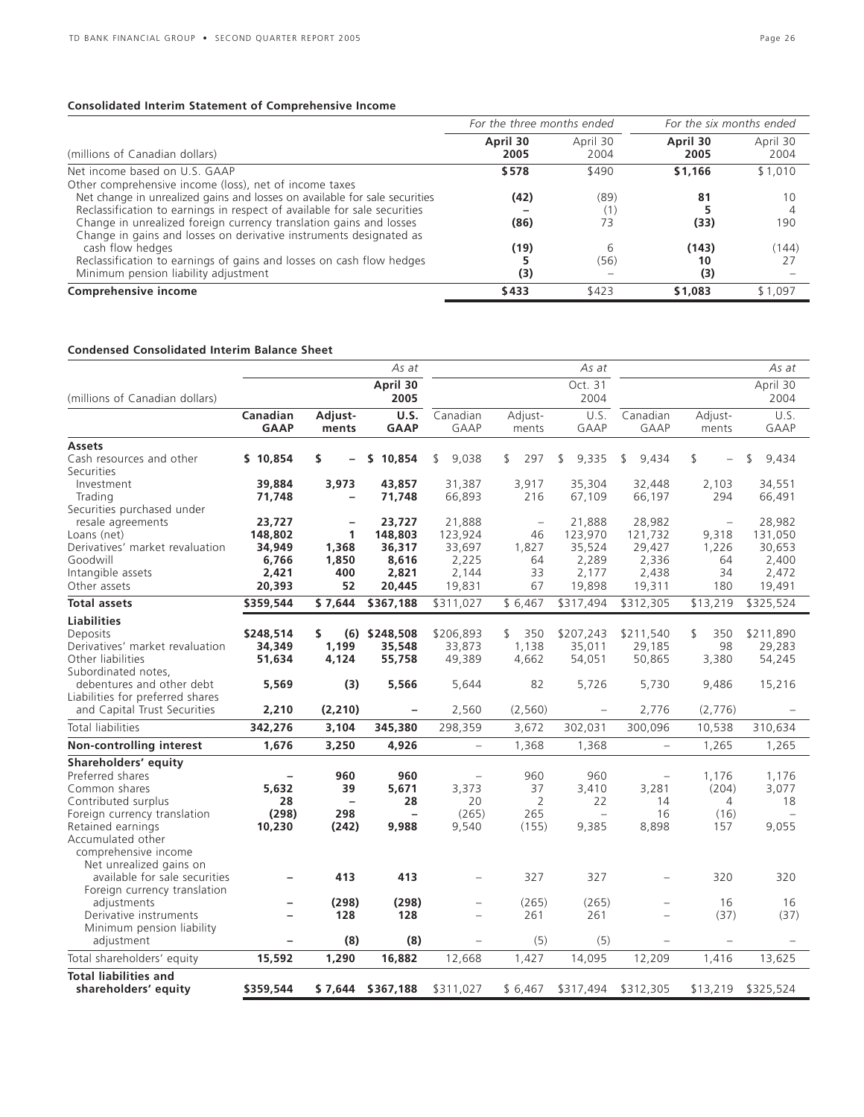### **Consolidated Interim Statement of Comprehensive Income**

|                                                                                                                                          | For the three months ended |                  | For the six months ended |                  |  |
|------------------------------------------------------------------------------------------------------------------------------------------|----------------------------|------------------|--------------------------|------------------|--|
| (millions of Canadian dollars)                                                                                                           | April 30<br>2005           | April 30<br>2004 | April 30<br>2005         | April 30<br>2004 |  |
| Net income based on U.S. GAAP                                                                                                            | \$578                      | \$490            | \$1,166                  | \$1,010          |  |
| Other comprehensive income (loss), net of income taxes<br>Net change in unrealized gains and losses on available for sale securities     | (42)                       | (89)             | 81                       | 10               |  |
| Reclassification to earnings in respect of available for sale securities                                                                 |                            |                  |                          |                  |  |
| Change in unrealized foreign currency translation gains and losses<br>Change in gains and losses on derivative instruments designated as | (86)                       | 73               | (33)                     | 190              |  |
| cash flow hedges                                                                                                                         | (19)                       |                  | (143)                    | (144)            |  |
| Reclassification to earnings of gains and losses on cash flow hedges                                                                     |                            | (56)             | 10                       |                  |  |
| Minimum pension liability adjustment                                                                                                     | (3)                        |                  | (3)                      |                  |  |
| Comprehensive income                                                                                                                     | \$433                      | \$423            | \$1,083                  | \$1.097          |  |

### **Condensed Consolidated Interim Balance Sheet**

|                                                   |                          |                   | As at               |                          |                          | As at                          |                          |                  | As at                   |
|---------------------------------------------------|--------------------------|-------------------|---------------------|--------------------------|--------------------------|--------------------------------|--------------------------|------------------|-------------------------|
| (millions of Canadian dollars)                    |                          |                   | April 30<br>2005    |                          |                          | Oct. 31<br>2004                |                          |                  | April 30<br>2004        |
|                                                   | Canadian<br><b>GAAP</b>  | Adjust-<br>ments  | U.S.<br><b>GAAP</b> | Canadian<br>GAAP         | Adjust-<br>ments         | U.S.<br>GAAP                   | Canadian<br>GAAP         | Adjust-<br>ments | U.S.<br>GAAP            |
| <b>Assets</b>                                     |                          |                   |                     |                          |                          |                                |                          |                  |                         |
| Cash resources and other                          | \$10.854                 | \$                | s.<br>10,854        | \$<br>9.038              | \$<br>297                | 9,335<br>\$                    | 9.434<br>\$              | $\mathcal{L}$    | $\mathfrak{F}$<br>9.434 |
| <b>Securities</b><br>Investment                   | 39,884                   | 3,973             | 43,857              | 31,387                   | 3,917                    | 35,304                         | 32,448                   | 2,103            | 34,551                  |
| Trading                                           | 71,748                   |                   | 71,748              | 66,893                   | 216                      | 67,109                         | 66,197                   | 294              | 66,491                  |
| Securities purchased under                        |                          |                   |                     |                          |                          |                                |                          |                  |                         |
| resale agreements                                 | 23,727                   |                   | 23,727              | 21,888                   | $\overline{\phantom{0}}$ | 21,888                         | 28,982                   | $\equiv$         | 28,982                  |
| Loans (net)                                       | 148,802                  | $\mathbf{1}$      | 148,803             | 123,924                  | 46                       | 123,970                        | 121,732                  | 9,318            | 131,050                 |
| Derivatives' market revaluation                   | 34,949                   | 1,368             | 36,317              | 33,697                   | 1,827                    | 35,524                         | 29,427                   | 1,226            | 30,653                  |
| Goodwill                                          | 6,766                    | 1,850             | 8,616               | 2,225                    | 64                       | 2,289                          | 2,336                    | 64               | 2,400                   |
| Intangible assets                                 | 2,421                    | 400               | 2,821               | 2,144                    | 33                       | 2,177                          | 2,438                    | 34               | 2,472                   |
| Other assets                                      | 20,393                   | 52                | 20,445              | 19,831                   | 67                       | 19,898                         | 19,311                   | 180              | 19,491                  |
| <b>Total assets</b>                               | \$359,544                | \$7,644           | \$367,188           | \$311,027                | \$6,467                  | \$317,494                      | \$312,305                | \$13,219         | \$325,524               |
| <b>Liabilities</b>                                |                          |                   |                     |                          |                          |                                |                          |                  |                         |
| Deposits                                          | \$248,514                | \$.               | $(6)$ \$248,508     | \$206,893                | 350<br>\$                | \$207,243                      | \$211,540                | \$<br>350        | \$211,890               |
| Derivatives' market revaluation                   | 34,349                   | 1,199             | 35,548              | 33,873                   | 1,138                    | 35,011                         | 29,185                   | 98               | 29,283                  |
| Other liabilities                                 | 51,634                   | 4,124             | 55,758              | 49,389                   | 4,662                    | 54,051                         | 50,865                   | 3,380            | 54,245                  |
| Subordinated notes.                               |                          |                   |                     |                          |                          |                                |                          |                  |                         |
| debentures and other debt                         | 5,569                    | (3)               | 5,566               | 5,644                    | 82                       | 5,726                          | 5,730                    | 9,486            | 15,216                  |
| Liabilities for preferred shares                  |                          |                   |                     |                          |                          |                                |                          |                  |                         |
| and Capital Trust Securities                      | 2,210                    | (2, 210)          |                     | 2,560                    | (2, 560)                 | $\qquad \qquad -$              | 2,776                    | (2,776)          |                         |
| Total liabilities                                 | 342,276                  | 3,104             | 345,380             | 298,359                  | 3,672                    | 302,031                        | 300,096                  | 10,538           | 310,634                 |
| Non-controlling interest                          | 1,676                    | 3,250             | 4,926               | $\overline{\phantom{0}}$ | 1,368                    | 1,368                          | $\overline{\phantom{0}}$ | 1,265            | 1,265                   |
| Shareholders' equity                              |                          |                   |                     |                          |                          |                                |                          |                  |                         |
| Preferred shares                                  | $\qquad \qquad -$        | 960               | 960                 | $\overline{\phantom{0}}$ | 960                      | 960                            | $\overline{\phantom{0}}$ | 1,176            | 1,176                   |
| Common shares                                     | 5,632                    | 39                | 5,671               | 3,373                    | 37                       | 3,410                          | 3,281                    | (204)            | 3,077                   |
| Contributed surplus                               | 28<br>(298)              | $\qquad \qquad -$ | 28<br>L,            | 20<br>(265)              | 2<br>265                 | 22<br>$\overline{\phantom{0}}$ | 14                       | 4                | 18                      |
| Foreign currency translation<br>Retained earnings | 10,230                   | 298               | 9,988               | 9,540                    | (155)                    | 9,385                          | 16<br>8,898              | (16)<br>157      | 9,055                   |
| Accumulated other                                 |                          | (242)             |                     |                          |                          |                                |                          |                  |                         |
| comprehensive income                              |                          |                   |                     |                          |                          |                                |                          |                  |                         |
| Net unrealized gains on                           |                          |                   |                     |                          |                          |                                |                          |                  |                         |
| available for sale securities                     | $\overline{\phantom{0}}$ | 413               | 413                 | $\qquad \qquad -$        | 327                      | 327                            | $\overline{\phantom{0}}$ | 320              | 320                     |
| Foreign currency translation                      |                          |                   |                     |                          |                          |                                |                          |                  |                         |
| adjustments                                       | $\overline{\phantom{0}}$ | (298)             | (298)               | $\qquad \qquad -$        | (265)                    | (265)                          | $\overline{\phantom{0}}$ | 16               | 16                      |
| Derivative instruments                            |                          | 128               | 128                 |                          | 261                      | 261                            |                          | (37)             | (37)                    |
| Minimum pension liability                         |                          |                   |                     |                          |                          |                                |                          |                  |                         |
| adjustment                                        |                          | (8)               | (8)                 |                          | (5)                      | (5)                            |                          |                  |                         |
| Total shareholders' equity                        | 15,592                   | 1,290             | 16,882              | 12,668                   | 1,427                    | 14,095                         | 12,209                   | 1,416            | 13,625                  |
| <b>Total liabilities and</b>                      |                          |                   |                     |                          |                          |                                |                          |                  |                         |
| shareholders' equity                              | \$359,544                |                   | \$7,644 \$367,188   | \$311,027                | \$6,467                  | \$317,494                      | \$312,305                | \$13,219         | \$325,524               |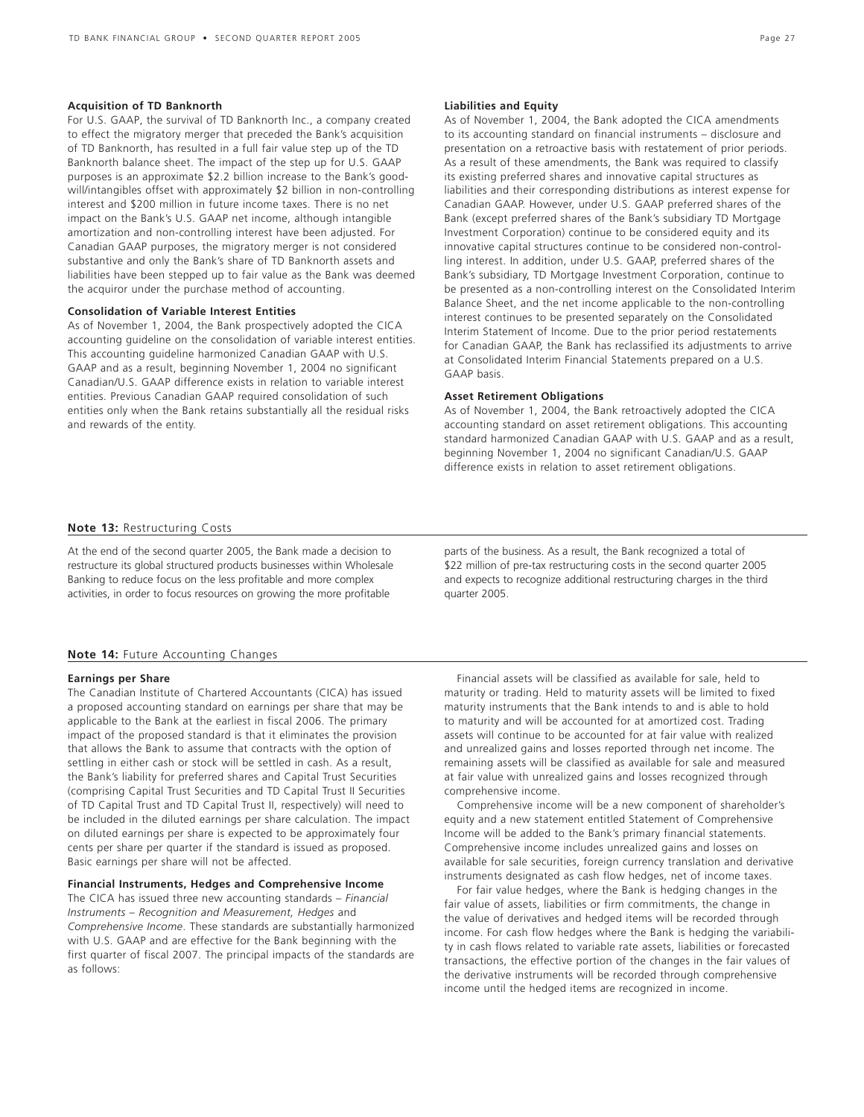#### **Acquisition of TD Banknorth**

For U.S. GAAP, the survival of TD Banknorth Inc., a company created to effect the migratory merger that preceded the Bank's acquisition of TD Banknorth, has resulted in a full fair value step up of the TD Banknorth balance sheet. The impact of the step up for U.S. GAAP purposes is an approximate \$2.2 billion increase to the Bank's goodwill/intangibles offset with approximately \$2 billion in non-controlling interest and \$200 million in future income taxes. There is no net impact on the Bank's U.S. GAAP net income, although intangible amortization and non-controlling interest have been adjusted. For Canadian GAAP purposes, the migratory merger is not considered substantive and only the Bank's share of TD Banknorth assets and liabilities have been stepped up to fair value as the Bank was deemed the acquiror under the purchase method of accounting.

#### **Consolidation of Variable Interest Entities**

As of November 1, 2004, the Bank prospectively adopted the CICA accounting guideline on the consolidation of variable interest entities. This accounting guideline harmonized Canadian GAAP with U.S. GAAP and as a result, beginning November 1, 2004 no significant Canadian/U.S. GAAP difference exists in relation to variable interest entities. Previous Canadian GAAP required consolidation of such entities only when the Bank retains substantially all the residual risks and rewards of the entity.

#### **Liabilities and Equity**

As of November 1, 2004, the Bank adopted the CICA amendments to its accounting standard on financial instruments – disclosure and presentation on a retroactive basis with restatement of prior periods. As a result of these amendments, the Bank was required to classify its existing preferred shares and innovative capital structures as liabilities and their corresponding distributions as interest expense for Canadian GAAP. However, under U.S. GAAP preferred shares of the Bank (except preferred shares of the Bank's subsidiary TD Mortgage Investment Corporation) continue to be considered equity and its innovative capital structures continue to be considered non-controlling interest. In addition, under U.S. GAAP, preferred shares of the Bank's subsidiary, TD Mortgage Investment Corporation, continue to be presented as a non-controlling interest on the Consolidated Interim Balance Sheet, and the net income applicable to the non-controlling interest continues to be presented separately on the Consolidated Interim Statement of Income. Due to the prior period restatements for Canadian GAAP, the Bank has reclassified its adjustments to arrive at Consolidated Interim Financial Statements prepared on a U.S. GAAP basis.

#### **Asset Retirement Obligations**

As of November 1, 2004, the Bank retroactively adopted the CICA accounting standard on asset retirement obligations. This accounting standard harmonized Canadian GAAP with U.S. GAAP and as a result, beginning November 1, 2004 no significant Canadian/U.S. GAAP difference exists in relation to asset retirement obligations.

### **Note 13:** Restructuring Costs

At the end of the second quarter 2005, the Bank made a decision to restructure its global structured products businesses within Wholesale Banking to reduce focus on the less profitable and more complex activities, in order to focus resources on growing the more profitable

parts of the business. As a result, the Bank recognized a total of \$22 million of pre-tax restructuring costs in the second quarter 2005 and expects to recognize additional restructuring charges in the third quarter 2005.

#### **Note 14: Future Accounting Changes**

#### **Earnings per Share**

The Canadian Institute of Chartered Accountants (CICA) has issued a proposed accounting standard on earnings per share that may be applicable to the Bank at the earliest in fiscal 2006. The primary impact of the proposed standard is that it eliminates the provision that allows the Bank to assume that contracts with the option of settling in either cash or stock will be settled in cash. As a result, the Bank's liability for preferred shares and Capital Trust Securities (comprising Capital Trust Securities and TD Capital Trust II Securities of TD Capital Trust and TD Capital Trust II, respectively) will need to be included in the diluted earnings per share calculation. The impact on diluted earnings per share is expected to be approximately four cents per share per quarter if the standard is issued as proposed. Basic earnings per share will not be affected.

#### **Financial Instruments, Hedges and Comprehensive Income**

The CICA has issued three new accounting standards – *Financial Instruments – Recognition and Measurement, Hedges* and *Comprehensive Income*. These standards are substantially harmonized with U.S. GAAP and are effective for the Bank beginning with the first quarter of fiscal 2007. The principal impacts of the standards are as follows:

Financial assets will be classified as available for sale, held to maturity or trading. Held to maturity assets will be limited to fixed maturity instruments that the Bank intends to and is able to hold to maturity and will be accounted for at amortized cost. Trading assets will continue to be accounted for at fair value with realized and unrealized gains and losses reported through net income. The remaining assets will be classified as available for sale and measured at fair value with unrealized gains and losses recognized through comprehensive income.

Comprehensive income will be a new component of shareholder's equity and a new statement entitled Statement of Comprehensive Income will be added to the Bank's primary financial statements. Comprehensive income includes unrealized gains and losses on available for sale securities, foreign currency translation and derivative instruments designated as cash flow hedges, net of income taxes.

For fair value hedges, where the Bank is hedging changes in the fair value of assets, liabilities or firm commitments, the change in the value of derivatives and hedged items will be recorded through income. For cash flow hedges where the Bank is hedging the variability in cash flows related to variable rate assets, liabilities or forecasted transactions, the effective portion of the changes in the fair values of the derivative instruments will be recorded through comprehensive income until the hedged items are recognized in income.